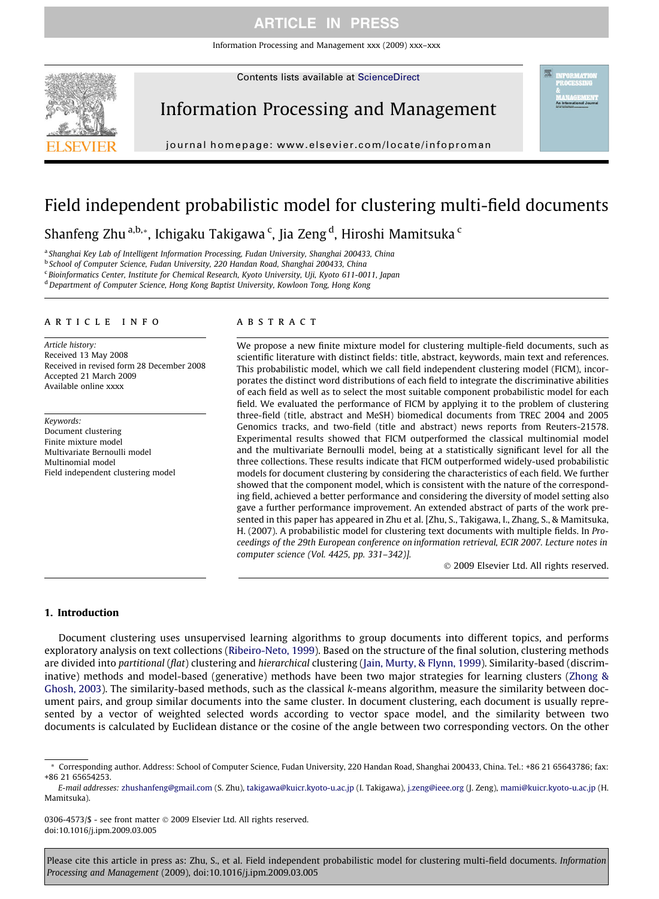Information Processing and Management xxx (2009) xxx–xxx

Contents lists available at [ScienceDirect](http://www.sciencedirect.com/science/journal/03064573)



Information Processing and Management

journal homepage: [www.elsevier.com/locate/infoproman](http://www.elsevier.com/locate/infoproman)

# Field independent probabilistic model for clustering multi-field documents

Shanfeng Zhu <sup>a,b,</sup>\*, Ichigaku Takigawa <sup>c</sup>, Jia Zeng <sup>d</sup>, Hiroshi Mamitsuka <sup>c</sup>

<sup>a</sup> Shanghai Key Lab of Intelligent Information Processing, Fudan University, Shanghai 200433, China

<sup>b</sup> School of Computer Science, Fudan University, 220 Handan Road, Shanghai 200433, China

<sup>c</sup> Bioinformatics Center, Institute for Chemical Research, Kyoto University, Uji, Kyoto 611-0011, Japan

<sup>d</sup> Department of Computer Science, Hong Kong Baptist University, Kowloon Tong, Hong Kong

## article info

Article history: Received 13 May 2008 Received in revised form 28 December 2008 Accepted 21 March 2009 Available online xxxx

Keywords: Document clustering Finite mixture model Multivariate Bernoulli model Multinomial model Field independent clustering model

## **ABSTRACT**

We propose a new finite mixture model for clustering multiple-field documents, such as scientific literature with distinct fields: title, abstract, keywords, main text and references. This probabilistic model, which we call field independent clustering model (FICM), incorporates the distinct word distributions of each field to integrate the discriminative abilities of each field as well as to select the most suitable component probabilistic model for each field. We evaluated the performance of FICM by applying it to the problem of clustering three-field (title, abstract and MeSH) biomedical documents from TREC 2004 and 2005 Genomics tracks, and two-field (title and abstract) news reports from Reuters-21578. Experimental results showed that FICM outperformed the classical multinomial model and the multivariate Bernoulli model, being at a statistically significant level for all the three collections. These results indicate that FICM outperformed widely-used probabilistic models for document clustering by considering the characteristics of each field. We further showed that the component model, which is consistent with the nature of the corresponding field, achieved a better performance and considering the diversity of model setting also gave a further performance improvement. An extended abstract of parts of the work presented in this paper has appeared in Zhu et al. [Zhu, S., Takigawa, I., Zhang, S., & Mamitsuka, H. (2007). A probabilistic model for clustering text documents with multiple fields. In Proceedings of the 29th European conference on information retrieval, ECIR 2007. Lecture notes in computer science (Vol. 4425, pp. 331–342)].

- 2009 Elsevier Ltd. All rights reserved.

## 1. Introduction

Document clustering uses unsupervised learning algorithms to group documents into different topics, and performs exploratory analysis on text collections ([Ribeiro-Neto, 1999](#page-15-0)). Based on the structure of the final solution, clustering methods are divided into partitional (flat) clustering and hierarchical clustering [\(Jain, Murty, & Flynn, 1999\)](#page-15-0). Similarity-based (discriminative) methods and model-based (generative) methods have been two major strategies for learning clusters ([Zhong &](#page-15-0) [Ghosh, 2003\)](#page-15-0). The similarity-based methods, such as the classical k-means algorithm, measure the similarity between document pairs, and group similar documents into the same cluster. In document clustering, each document is usually represented by a vector of weighted selected words according to vector space model, and the similarity between two documents is calculated by Euclidean distance or the cosine of the angle between two corresponding vectors. On the other

<sup>\*</sup> Corresponding author. Address: School of Computer Science, Fudan University, 220 Handan Road, Shanghai 200433, China. Tel.: +86 21 65643786; fax: +86 21 65654253.

E-mail addresses: [zhushanfeng@gmail.com](mailto:zhushanfeng@gmail.com) (S. Zhu), [takigawa@kuicr.kyoto-u.ac.jp](mailto:takigawa@kuicr.kyoto-u.ac.jp) (I. Takigawa), [j.zeng@ieee.org](mailto:j.zeng@ieee.org) (J. Zeng), [mami@kuicr.kyoto-u.ac.jp](mailto:mami@kuicr.kyoto-u.ac.jp) (H. Mamitsuka).

<sup>0306-4573/\$ -</sup> see front matter © 2009 Elsevier Ltd. All rights reserved. doi:10.1016/j.ipm.2009.03.005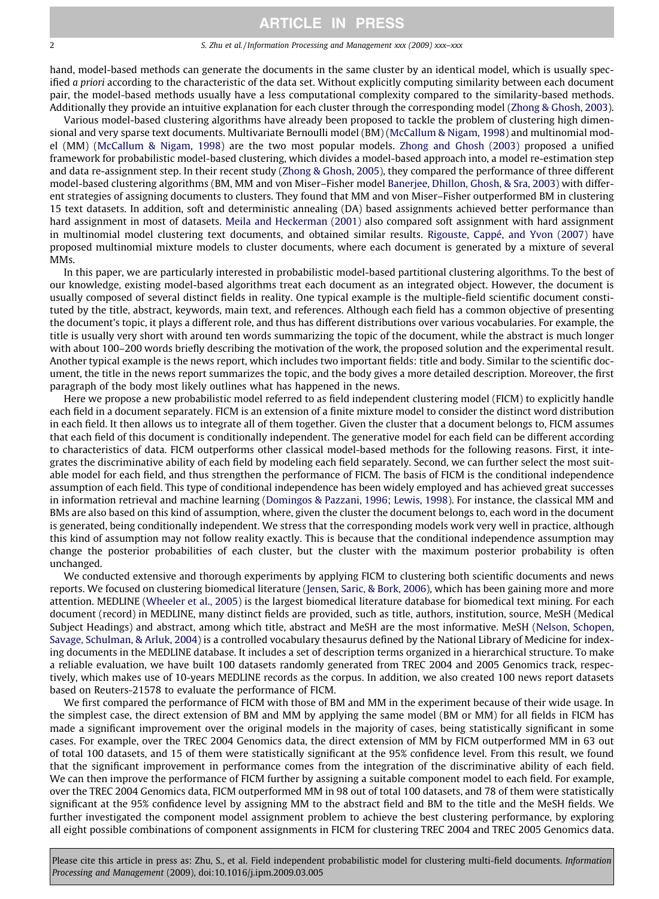#### 2 S. Zhu et al. / Information Processing and Management xxx (2009) xxx–xxx

hand, model-based methods can generate the documents in the same cluster by an identical model, which is usually specified a priori according to the characteristic of the data set. Without explicitly computing similarity between each document pair, the model-based methods usually have a less computational complexity compared to the similarity-based methods. Additionally they provide an intuitive explanation for each cluster through the corresponding model [\(Zhong & Ghosh, 2003](#page-15-0)).

Various model-based clustering algorithms have already been proposed to tackle the problem of clustering high dimensional and very sparse text documents. Multivariate Bernoulli model (BM) [\(McCallum & Nigam, 1998\)](#page-15-0) and multinomial model (MM) ([McCallum & Nigam, 1998](#page-15-0)) are the two most popular models. [Zhong and Ghosh \(2003\)](#page-15-0) proposed a unified framework for probabilistic model-based clustering, which divides a model-based approach into, a model re-estimation step and data re-assignment step. In their recent study ([Zhong & Ghosh, 2005\)](#page-15-0), they compared the performance of three different model-based clustering algorithms (BM, MM and von Miser–Fisher model [Banerjee, Dhillon, Ghosh, & Sra, 2003](#page-14-0)) with different strategies of assigning documents to clusters. They found that MM and von Miser–Fisher outperformed BM in clustering 15 text datasets. In addition, soft and deterministic annealing (DA) based assignments achieved better performance than hard assignment in most of datasets. [Meila and Heckerman \(2001\)](#page-15-0) also compared soft assignment with hard assignment in multinomial model clustering text documents, and obtained similar results. [Rigouste, Cappé, and Yvon \(2007\)](#page-15-0) have proposed multinomial mixture models to cluster documents, where each document is generated by a mixture of several MMs.

In this paper, we are particularly interested in probabilistic model-based partitional clustering algorithms. To the best of our knowledge, existing model-based algorithms treat each document as an integrated object. However, the document is usually composed of several distinct fields in reality. One typical example is the multiple-field scientific document constituted by the title, abstract, keywords, main text, and references. Although each field has a common objective of presenting the document's topic, it plays a different role, and thus has different distributions over various vocabularies. For example, the title is usually very short with around ten words summarizing the topic of the document, while the abstract is much longer with about 100–200 words briefly describing the motivation of the work, the proposed solution and the experimental result. Another typical example is the news report, which includes two important fields: title and body. Similar to the scientific document, the title in the news report summarizes the topic, and the body gives a more detailed description. Moreover, the first paragraph of the body most likely outlines what has happened in the news.

Here we propose a new probabilistic model referred to as field independent clustering model (FICM) to explicitly handle each field in a document separately. FICM is an extension of a finite mixture model to consider the distinct word distribution in each field. It then allows us to integrate all of them together. Given the cluster that a document belongs to, FICM assumes that each field of this document is conditionally independent. The generative model for each field can be different according to characteristics of data. FICM outperforms other classical model-based methods for the following reasons. First, it integrates the discriminative ability of each field by modeling each field separately. Second, we can further select the most suitable model for each field, and thus strengthen the performance of FICM. The basis of FICM is the conditional independence assumption of each field. This type of conditional independence has been widely employed and has achieved great successes in information retrieval and machine learning ([Domingos & Pazzani, 1996; Lewis, 1998](#page-14-0)). For instance, the classical MM and BMs are also based on this kind of assumption, where, given the cluster the document belongs to, each word in the document is generated, being conditionally independent. We stress that the corresponding models work very well in practice, although this kind of assumption may not follow reality exactly. This is because that the conditional independence assumption may change the posterior probabilities of each cluster, but the cluster with the maximum posterior probability is often unchanged.

We conducted extensive and thorough experiments by applying FICM to clustering both scientific documents and news reports. We focused on clustering biomedical literature ([Jensen, Saric, & Bork, 2006](#page-15-0)), which has been gaining more and more attention. MEDLINE ([Wheeler et al., 2005\)](#page-15-0) is the largest biomedical literature database for biomedical text mining. For each document (record) in MEDLINE, many distinct fields are provided, such as title, authors, institution, source, MeSH (Medical Subject Headings) and abstract, among which title, abstract and MeSH are the most informative. MeSH [\(Nelson, Schopen,](#page-15-0) [Savage, Schulman, & Arluk, 2004](#page-15-0)) is a controlled vocabulary thesaurus defined by the National Library of Medicine for indexing documents in the MEDLINE database. It includes a set of description terms organized in a hierarchical structure. To make a reliable evaluation, we have built 100 datasets randomly generated from TREC 2004 and 2005 Genomics track, respectively, which makes use of 10-years MEDLINE records as the corpus. In addition, we also created 100 news report datasets based on Reuters-21578 to evaluate the performance of FICM.

We first compared the performance of FICM with those of BM and MM in the experiment because of their wide usage. In the simplest case, the direct extension of BM and MM by applying the same model (BM or MM) for all fields in FICM has made a significant improvement over the original models in the majority of cases, being statistically significant in some cases. For example, over the TREC 2004 Genomics data, the direct extension of MM by FICM outperformed MM in 63 out of total 100 datasets, and 15 of them were statistically significant at the 95% confidence level. From this result, we found that the significant improvement in performance comes from the integration of the discriminative ability of each field. We can then improve the performance of FICM further by assigning a suitable component model to each field. For example, over the TREC 2004 Genomics data, FICM outperformed MM in 98 out of total 100 datasets, and 78 of them were statistically significant at the 95% confidence level by assigning MM to the abstract field and BM to the title and the MeSH fields. We further investigated the component model assignment problem to achieve the best clustering performance, by exploring all eight possible combinations of component assignments in FICM for clustering TREC 2004 and TREC 2005 Genomics data.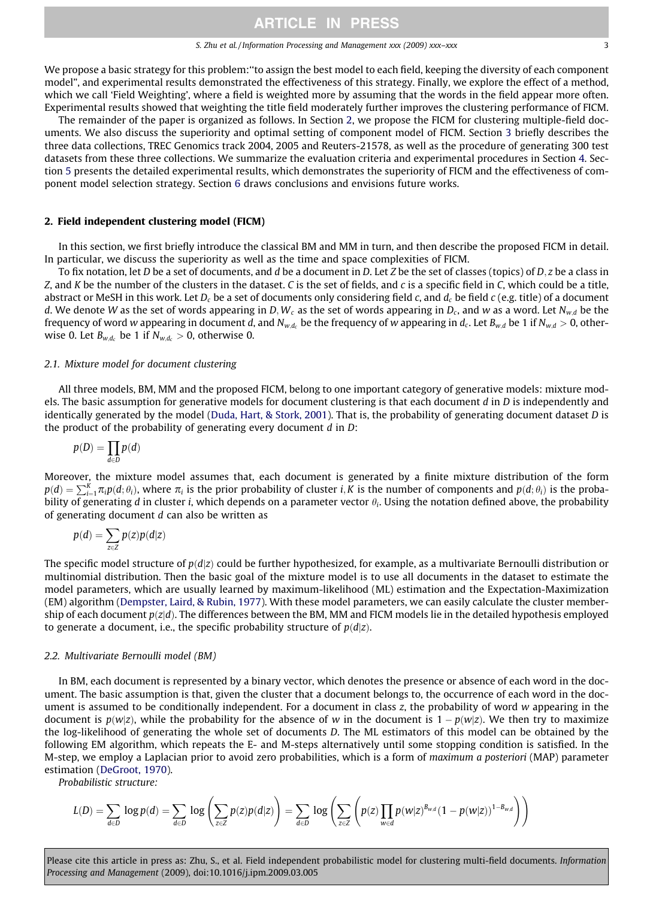We propose a basic strategy for this problem:''to assign the best model to each field, keeping the diversity of each component model", and experimental results demonstrated the effectiveness of this strategy. Finally, we explore the effect of a method, which we call 'Field Weighting', where a field is weighted more by assuming that the words in the field appear more often. Experimental results showed that weighting the title field moderately further improves the clustering performance of FICM.

The remainder of the paper is organized as follows. In Section 2, we propose the FICM for clustering multiple-field documents. We also discuss the superiority and optimal setting of component model of FICM. Section 3 briefly describes the three data collections, TREC Genomics track 2004, 2005 and Reuters-21578, as well as the procedure of generating 300 test datasets from these three collections. We summarize the evaluation criteria and experimental procedures in Section 4. Section 5 presents the detailed experimental results, which demonstrates the superiority of FICM and the effectiveness of component model selection strategy. Section 6 draws conclusions and envisions future works.

## 2. Field independent clustering model (FICM)

In this section, we first briefly introduce the classical BM and MM in turn, and then describe the proposed FICM in detail. In particular, we discuss the superiority as well as the time and space complexities of FICM.

To fix notation, let D be a set of documents, and d be a document in D. Let Z be the set of classes (topics) of  $D, z$  be a class in Z, and K be the number of the clusters in the dataset. C is the set of fields, and c is a specific field in  $C$ , which could be a title, abstract or MeSH in this work. Let  $D_c$  be a set of documents only considering field c, and  $d_c$  be field c (e.g. title) of a document d. We denote W as the set of words appearing in D, W<sub>c</sub> as the set of words appearing in D<sub>c</sub>, and w as a word. Let N<sub>wd</sub> be the frequency of word w appearing in document d, and  $N_{wd}$  be the frequency of w appearing in d<sub>c</sub>. Let  $B_{wd}$  be 1 if  $N_{wd} > 0$ , otherwise 0. Let  $B_{w,d_c}$  be 1 if  $N_{w,d_c} > 0$ , otherwise 0.

## 2.1. Mixture model for document clustering

All three models, BM, MM and the proposed FICM, belong to one important category of generative models: mixture models. The basic assumption for generative models for document clustering is that each document  $d$  in  $D$  is independently and identically generated by the model [\(Duda, Hart, & Stork, 2001\)](#page-14-0). That is, the probability of generating document dataset D is the product of the probability of generating every document  $d$  in  $D$ :

$$
p(D) = \prod_{d \in D} p(d)
$$

Moreover, the mixture model assumes that, each document is generated by a finite mixture distribution of the form  $p(d) = \sum_{i=1}^{K} \pi_i p(d; \theta_i)$ , where  $\pi_i$  is the prior probability of cluster  $i, K$  is the number of components and  $p(d; \theta_i)$  is the probability of generating d in cluster i, which depends on a parameter vector  $\theta_i$ . Using the notation defined above, the probability of generating document d can also be written as

$$
p(d) = \sum_{z \in Z} p(z)p(d|z)
$$

The specific model structure of  $p(d|z)$  could be further hypothesized, for example, as a multivariate Bernoulli distribution or multinomial distribution. Then the basic goal of the mixture model is to use all documents in the dataset to estimate the model parameters, which are usually learned by maximum-likelihood (ML) estimation and the Expectation-Maximization (EM) algorithm [\(Dempster, Laird, & Rubin, 1977\)](#page-14-0). With these model parameters, we can easily calculate the cluster membership of each document  $p(z|d)$ . The differences between the BM, MM and FICM models lie in the detailed hypothesis employed to generate a document, i.e., the specific probability structure of  $p(d|z)$ .

### 2.2. Multivariate Bernoulli model (BM)

In BM, each document is represented by a binary vector, which denotes the presence or absence of each word in the document. The basic assumption is that, given the cluster that a document belongs to, the occurrence of each word in the document is assumed to be conditionally independent. For a document in class z, the probability of word w appearing in the document is  $p(w|z)$ , while the probability for the absence of  $w$  in the document is  $1-p(w|z)$ . We then try to maximize the log-likelihood of generating the whole set of documents D. The ML estimators of this model can be obtained by the following EM algorithm, which repeats the E- and M-steps alternatively until some stopping condition is satisfied. In the M-step, we employ a Laplacian prior to avoid zero probabilities, which is a form of maximum a posteriori (MAP) parameter estimation ([DeGroot, 1970\)](#page-14-0).

Probabilistic structure:

$$
L(D) = \sum_{d \in D} \log p(d) = \sum_{d \in D} \log \left( \sum_{z \in Z} p(z) p(d|z) \right) = \sum_{d \in D} \log \left( \sum_{z \in Z} \left( p(z) \prod_{w \in d} p(w|z)^{B_{w,d}} (1 - p(w|z))^{1 - B_{w,d}} \right) \right)
$$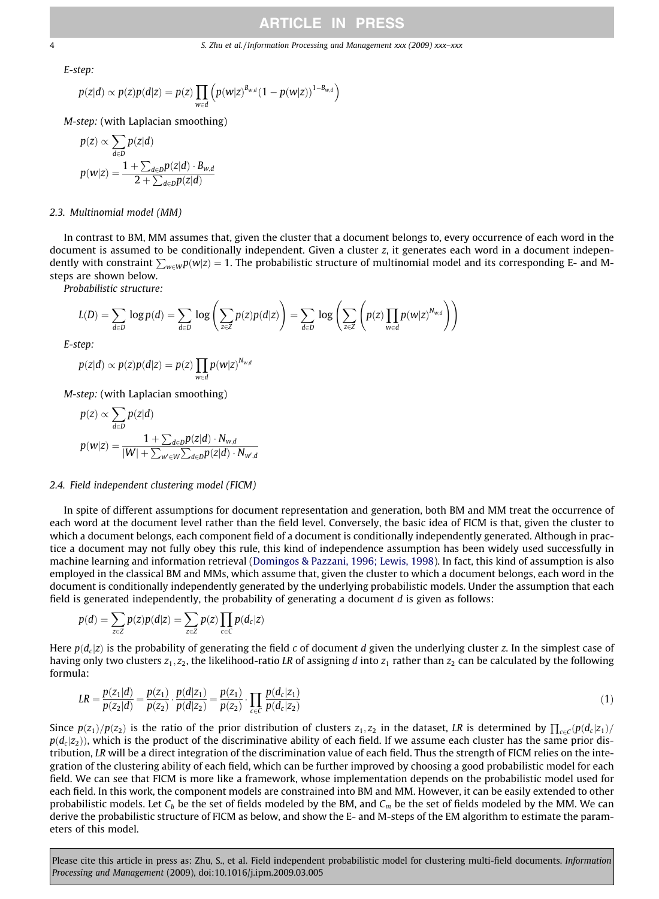<span id="page-3-0"></span>4 S. Zhu et al. / Information Processing and Management xxx (2009) xxx–xxx

E-step:

$$
p(z|d) \propto p(z)p(d|z) = p(z) \prod_{w \in d} \left( p(w|z)^{B_{w,d}} (1 - p(w|z))^{1 - B_{w,d}} \right)
$$

M-step: (with Laplacian smoothing)

$$
p(z) \propto \sum_{d \in D} p(z|d)
$$
  

$$
p(w|z) = \frac{1 + \sum_{d \in D} p(z|d) \cdot B_{w,d}}{2 + \sum_{d \in D} p(z|d)}
$$

### 2.3. Multinomial model (MM)

In contrast to BM, MM assumes that, given the cluster that a document belongs to, every occurrence of each word in the document is assumed to be conditionally independent. Given a cluster z, it generates each word in a document independently with constraint  $\sum_{w\in W}p(w|z)=1$ . The probabilistic structure of multinomial model and its corresponding E- and Msteps are shown below.

Probabilistic structure:

$$
L(D) = \sum_{d \in D} \log p(d) = \sum_{d \in D} \log \left( \sum_{z \in Z} p(z) p(d|z) \right) = \sum_{d \in D} \log \left( \sum_{z \in Z} \left( p(z) \prod_{w \in d} p(w|z)^{N_{w,d}} \right) \right)
$$

E-step:

$$
p(z|d) \propto p(z)p(d|z) = p(z) \prod_{w \in d} p(w|z)^{N_{w,d}}
$$

M-step: (with Laplacian smoothing)

$$
p(z) \propto \sum_{d \in D} p(z|d)
$$
  

$$
p(w|z) = \frac{1 + \sum_{d \in D} p(z|d) \cdot N_{w,d}}{|W| + \sum_{w' \in W} \sum_{d \in D} p(z|d) \cdot N_{w',d}}
$$

## 2.4. Field independent clustering model (FICM)

In spite of different assumptions for document representation and generation, both BM and MM treat the occurrence of each word at the document level rather than the field level. Conversely, the basic idea of FICM is that, given the cluster to which a document belongs, each component field of a document is conditionally independently generated. Although in practice a document may not fully obey this rule, this kind of independence assumption has been widely used successfully in machine learning and information retrieval [\(Domingos & Pazzani, 1996; Lewis, 1998\)](#page-14-0). In fact, this kind of assumption is also employed in the classical BM and MMs, which assume that, given the cluster to which a document belongs, each word in the document is conditionally independently generated by the underlying probabilistic models. Under the assumption that each field is generated independently, the probability of generating a document  $d$  is given as follows:

$$
p(d) = \sum_{z \in Z} p(z)p(d|z) = \sum_{z \in Z} p(z) \prod_{c \in C} p(d_c|z)
$$

Here  $p(d_c|z)$  is the probability of generating the field c of document d given the underlying cluster z. In the simplest case of having only two clusters  $z_1, z_2$ , the likelihood-ratio LR of assigning d into  $z_1$  rather than  $z_2$  can be calculated by the following formula:

$$
LR = \frac{p(z_1|d)}{p(z_2|d)} = \frac{p(z_1)}{p(z_2)} \cdot \frac{p(d|z_1)}{p(d|z_2)} = \frac{p(z_1)}{p(z_2)} \cdot \prod_{c \in C} \frac{p(d_c|z_1)}{p(d_c|z_2)}
$$
(1)

Since  $p(z_1)/p(z_2)$  is the ratio of the prior distribution of clusters  $z_1, z_2$  in the dataset, LR is determined by  $\prod_{c \in C} (p(d_c|z_1)/p(c_2)$  $p(d_c | z_2)$ ), which is the product of the discriminative ability of each field. If we assume each cluster has the same prior distribution, LR will be a direct integration of the discrimination value of each field. Thus the strength of FICM relies on the integration of the clustering ability of each field, which can be further improved by choosing a good probabilistic model for each field. We can see that FICM is more like a framework, whose implementation depends on the probabilistic model used for each field. In this work, the component models are constrained into BM and MM. However, it can be easily extended to other probabilistic models. Let  $C_b$  be the set of fields modeled by the BM, and  $C_m$  be the set of fields modeled by the MM. We can derive the probabilistic structure of FICM as below, and show the E- and M-steps of the EM algorithm to estimate the parameters of this model.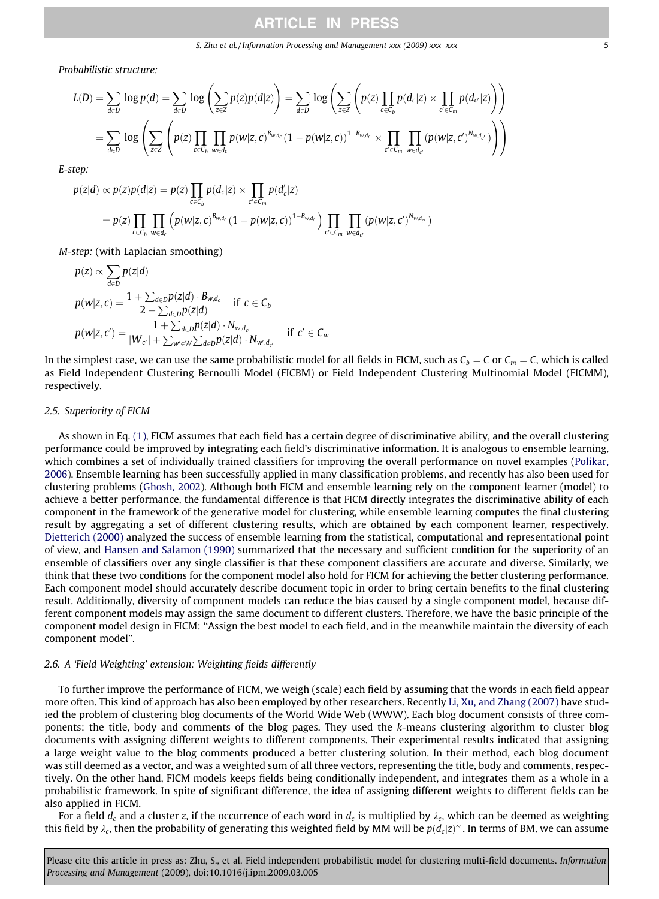Probabilistic structure:

$$
L(D) = \sum_{d \in D} \log p(d) = \sum_{d \in D} \log \left( \sum_{z \in Z} p(z)p(d|z) \right) = \sum_{d \in D} \log \left( \sum_{z \in Z} \left( p(z) \prod_{c \in C_b} p(d_c|z) \times \prod_{c' \in C_m} p(d_{c'}|z) \right) \right)
$$
  
= 
$$
\sum_{d \in D} \log \left( \sum_{z \in Z} \left( p(z) \prod_{c \in C_b} \prod_{w \in d_c} p(w|z, c)^{B_{w,d_c}} (1 - p(w|z, c))^{1 - B_{w,d_c}} \times \prod_{c' \in C_m} \prod_{w \in d_{c'}} (p(w|z, c')^{N_{w,d_{c'}}}) \right) \right)
$$

E-step:

$$
p(z|d) \propto p(z)p(d|z) = p(z) \prod_{c \in C_b} p(d_c|z) \times \prod_{c' \in C_m} p(d'_c|z)
$$
  
=  $p(z) \prod_{c \in C_b} \prod_{w \in d_c} (p(w|z, c)^{B_{w,d_c}} (1 - p(w|z, c))^{1-B_{w,d_c}}) \prod_{c' \in C_m} \prod_{w \in d_{c'}} (p(w|z, c')^{N_{w,d_{c'}}})$ 

M-step: (with Laplacian smoothing)

$$
p(z) \propto \sum_{d \in D} p(z|d)
$$
  
\n
$$
p(w|z, c) = \frac{1 + \sum_{d \in D} p(z|d) \cdot B_{w,d_c}}{2 + \sum_{d \in D} p(z|d)} \quad \text{if } c \in C_b
$$
  
\n
$$
p(w|z, c') = \frac{1 + \sum_{d \in D} p(z|d) \cdot N_{w,d_{c'}}}{|W_{c'}| + \sum_{w' \in W} \sum_{d \in D} p(z|d) \cdot N_{w',d_{c'}}} \quad \text{if } c' \in C_m
$$

In the simplest case, we can use the same probabilistic model for all fields in FICM, such as  $C_b = C$  or  $C_m = C$ , which is called as Field Independent Clustering Bernoulli Model (FICBM) or Field Independent Clustering Multinomial Model (FICMM), respectively.

## 2.5. Superiority of FICM

As shown in Eq. [\(1\),](#page-3-0) FICM assumes that each field has a certain degree of discriminative ability, and the overall clustering performance could be improved by integrating each field's discriminative information. It is analogous to ensemble learning, which combines a set of individually trained classifiers for improving the overall performance on novel examples [\(Polikar,](#page-15-0) [2006\)](#page-15-0). Ensemble learning has been successfully applied in many classification problems, and recently has also been used for clustering problems [\(Ghosh, 2002\)](#page-14-0). Although both FICM and ensemble learning rely on the component learner (model) to achieve a better performance, the fundamental difference is that FICM directly integrates the discriminative ability of each component in the framework of the generative model for clustering, while ensemble learning computes the final clustering result by aggregating a set of different clustering results, which are obtained by each component learner, respectively. [Dietterich \(2000\)](#page-14-0) analyzed the success of ensemble learning from the statistical, computational and representational point of view, and [Hansen and Salamon \(1990\)](#page-15-0) summarized that the necessary and sufficient condition for the superiority of an ensemble of classifiers over any single classifier is that these component classifiers are accurate and diverse. Similarly, we think that these two conditions for the component model also hold for FICM for achieving the better clustering performance. Each component model should accurately describe document topic in order to bring certain benefits to the final clustering result. Additionally, diversity of component models can reduce the bias caused by a single component model, because different component models may assign the same document to different clusters. Therefore, we have the basic principle of the component model design in FICM: ''Assign the best model to each field, and in the meanwhile maintain the diversity of each component model".

### 2.6. A 'Field Weighting' extension: Weighting fields differently

To further improve the performance of FICM, we weigh (scale) each field by assuming that the words in each field appear more often. This kind of approach has also been employed by other researchers. Recently [Li, Xu, and Zhang \(2007\)](#page-15-0) have studied the problem of clustering blog documents of the World Wide Web (WWW). Each blog document consists of three components: the title, body and comments of the blog pages. They used the k-means clustering algorithm to cluster blog documents with assigning different weights to different components. Their experimental results indicated that assigning a large weight value to the blog comments produced a better clustering solution. In their method, each blog document was still deemed as a vector, and was a weighted sum of all three vectors, representing the title, body and comments, respectively. On the other hand, FICM models keeps fields being conditionally independent, and integrates them as a whole in a probabilistic framework. In spite of significant difference, the idea of assigning different weights to different fields can be also applied in FICM.

For a field  $d_c$  and a cluster z, if the occurrence of each word in  $d_c$  is multiplied by  $\lambda_c$ , which can be deemed as weighting this field by  $\lambda_c$ , then the probability of generating this weighted field by MM will be  $p(d_c|z)^{\lambda_c}.$  In terms of BM, we can assume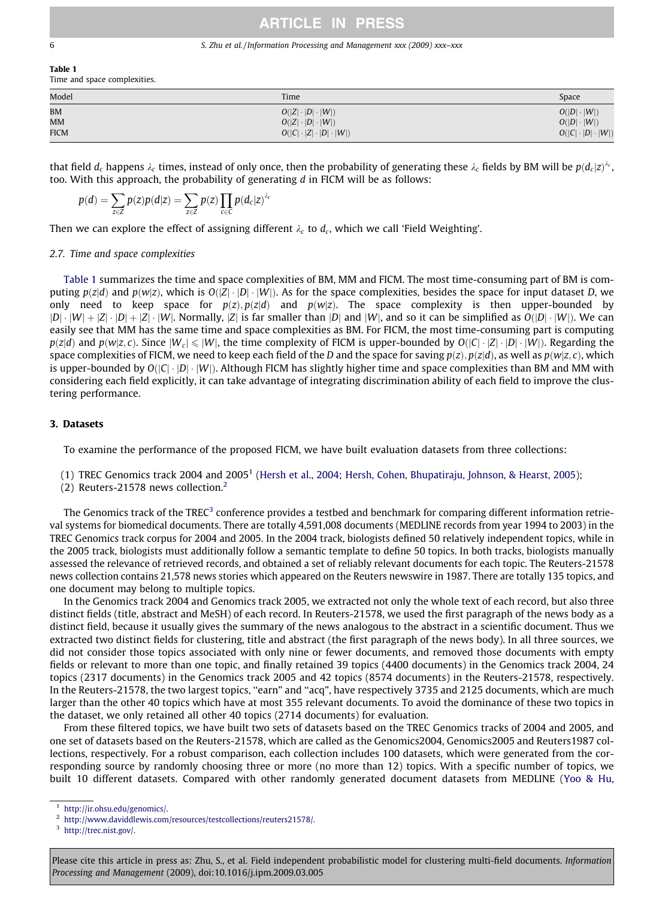#### 6 S. Zhu et al. / Information Processing and Management xxx (2009) xxx–xxx

Table 1 Time and space complexities.

| Model       | Time                                   | Space                        |
|-------------|----------------------------------------|------------------------------|
| <b>BM</b>   | $O( Z \cdot D \cdot W )$               | $O( D \cdot W )$             |
| MM          | $O( Z \cdot D \cdot W )$               | $O( D \cdot W )$             |
| <b>FICM</b> | $O( C  \cdot  Z  \cdot  D  \cdot  W )$ | $O( C  \cdot  D  \cdot  W )$ |

that field  $d_c$  happens  $\lambda_c$  times, instead of only once, then the probability of generating these  $\lambda_c$  fields by BM will be  $p(d_c|z)^{\lambda_c}$ , too. With this approach, the probability of generating d in FICM will be as follows:

$$
p(d) = \sum_{z \in Z} p(z)p(d|z) = \sum_{z \in Z} p(z) \prod_{c \in C} p(d_c|z)^{\lambda_c}
$$

Then we can explore the effect of assigning different  $\lambda_c$  to  $d_c$ , which we call 'Field Weighting'.

## 2.7. Time and space complexities

Table 1 summarizes the time and space complexities of BM, MM and FICM. The most time-consuming part of BM is computing  $p(z|d)$  and  $p(w|z)$ , which is  $O(|Z| \cdot |D| \cdot |W|)$ . As for the space complexities, besides the space for input dataset D, we only need to keep space for  $p(z), p(z|d)$  and  $p(w|z)$ . The space complexity is then upper-bounded by  $|D|\cdot|W|+|Z|\cdot|D|+|Z|\cdot|W|$ . Normally,  $|Z|$  is far smaller than  $|D|$  and  $|W|$ , and so it can be simplified as  $O(|D|\cdot|W|)$ . We can easily see that MM has the same time and space complexities as BM. For FICM, the most time-consuming part is computing  $p(z|d)$  and  $p(w|z, c)$ . Since  $|W_c| \leq |W|$ , the time complexity of FICM is upper-bounded by  $O(|C| \cdot |Z| \cdot |D| \cdot |W|)$ . Regarding the space complexities of FICM, we need to keep each field of the D and the space for saving  $p(z)$ ,  $p(z|d)$ , as well as  $p(w|z, c)$ , which is upper-bounded by  $O(|C| \cdot |D| \cdot |W|)$ . Although FICM has slightly higher time and space complexities than BM and MM with considering each field explicitly, it can take advantage of integrating discrimination ability of each field to improve the clustering performance.

## 3. Datasets

To examine the performance of the proposed FICM, we have built evaluation datasets from three collections:

- (1) TREC Genomics track 2004 and 20051 ([Hersh et al., 2004; Hersh, Cohen, Bhupatiraju, Johnson, & Hearst, 2005\)](#page-15-0);
- (2) Reuters-21578 news collection.<sup>2</sup>

The Genomics track of the TREC<sup>3</sup> conference provides a testbed and benchmark for comparing different information retrieval systems for biomedical documents. There are totally 4,591,008 documents (MEDLINE records from year 1994 to 2003) in the TREC Genomics track corpus for 2004 and 2005. In the 2004 track, biologists defined 50 relatively independent topics, while in the 2005 track, biologists must additionally follow a semantic template to define 50 topics. In both tracks, biologists manually assessed the relevance of retrieved records, and obtained a set of reliably relevant documents for each topic. The Reuters-21578 news collection contains 21,578 news stories which appeared on the Reuters newswire in 1987. There are totally 135 topics, and one document may belong to multiple topics.

In the Genomics track 2004 and Genomics track 2005, we extracted not only the whole text of each record, but also three distinct fields (title, abstract and MeSH) of each record. In Reuters-21578, we used the first paragraph of the news body as a distinct field, because it usually gives the summary of the news analogous to the abstract in a scientific document. Thus we extracted two distinct fields for clustering, title and abstract (the first paragraph of the news body). In all three sources, we did not consider those topics associated with only nine or fewer documents, and removed those documents with empty fields or relevant to more than one topic, and finally retained 39 topics (4400 documents) in the Genomics track 2004, 24 topics (2317 documents) in the Genomics track 2005 and 42 topics (8574 documents) in the Reuters-21578, respectively. In the Reuters-21578, the two largest topics, ''earn" and ''acq", have respectively 3735 and 2125 documents, which are much larger than the other 40 topics which have at most 355 relevant documents. To avoid the dominance of these two topics in the dataset, we only retained all other 40 topics (2714 documents) for evaluation.

From these filtered topics, we have built two sets of datasets based on the TREC Genomics tracks of 2004 and 2005, and one set of datasets based on the Reuters-21578, which are called as the Genomics2004, Genomics2005 and Reuters1987 collections, respectively. For a robust comparison, each collection includes 100 datasets, which were generated from the corresponding source by randomly choosing three or more (no more than 12) topics. With a specific number of topics, we built 10 different datasets. Compared with other randomly generated document datasets from MEDLINE ([Yoo & Hu,](#page-15-0)

[http://ir.ohsu.edu/genomics/](http://ir.ohsu.edu/genomics).

<sup>2</sup> [http://www.daviddlewis.com/resources/testcollections/reuters21578/.](http://www.daviddlewis.com/resources/testcollections/reuters21578)

<sup>3</sup> [http://trec.nist.gov/](http://trec.nist.gov).

Please cite this article in press as: Zhu, S., et al. Field independent probabilistic model for clustering multi-field documents. Information Processing and Management (2009), doi:10.1016/j.ipm.2009.03.005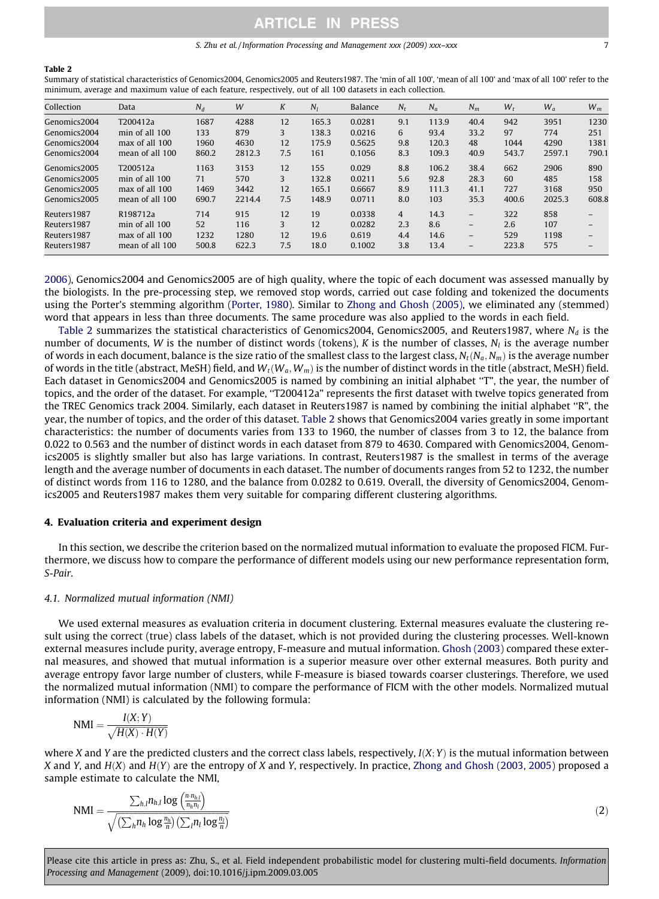#### Table 2

Summary of statistical characteristics of Genomics2004, Genomics2005 and Reuters1987. The 'min of all 100', 'mean of all 100' and 'max of all 100' refer to the minimum, average and maximum value of each feature, respectively, out of all 100 datasets in each collection.

| Collection   | Data            | $N_d$ | W      | K   | $N_I$ | Balance | $N_r$          | $N_a$ | $N_m$                    | $W_t$ | $W_a$  | $W_m$                    |
|--------------|-----------------|-------|--------|-----|-------|---------|----------------|-------|--------------------------|-------|--------|--------------------------|
| Genomics2004 | T200412a        | 1687  | 4288   | 12  | 165.3 | 0.0281  | 9.1            | 113.9 | 40.4                     | 942   | 3951   | 1230                     |
| Genomics2004 | min of all 100  | 133   | 879    | 3   | 138.3 | 0.0216  | 6              | 93.4  | 33.2                     | 97    | 774    | 251                      |
| Genomics2004 | max of all 100  | 1960  | 4630   | 12  | 175.9 | 0.5625  | 9.8            | 120.3 | 48                       | 1044  | 4290   | 1381                     |
| Genomics2004 | mean of all 100 | 860.2 | 2812.3 | 7.5 | 161   | 0.1056  | 8.3            | 109.3 | 40.9                     | 543.7 | 2597.1 | 790.1                    |
| Genomics2005 | T200512a        | 1163  | 3153   | 12  | 155   | 0.029   | 8.8            | 106.2 | 38.4                     | 662   | 2906   | 890                      |
| Genomics2005 | min of all 100  | 71    | 570    | 3   | 132.8 | 0.0211  | 5.6            | 92.8  | 28.3                     | 60    | 485    | 158                      |
| Genomics2005 | max of all 100  | 1469  | 3442   | 12  | 165.1 | 0.6667  | 8.9            | 111.3 | 41.1                     | 727   | 3168   | 950                      |
| Genomics2005 | mean of all 100 | 690.7 | 2214.4 | 7.5 | 148.9 | 0.0711  | 8.0            | 103   | 35.3                     | 400.6 | 2025.3 | 608.8                    |
| Reuters1987  | R198712a        | 714   | 915    | 12  | 19    | 0.0338  | $\overline{4}$ | 14.3  | $\overline{\phantom{a}}$ | 322   | 858    | $-$                      |
| Reuters1987  | min of all 100  | 52    | 116    | 3   | 12    | 0.0282  | 2.3            | 8.6   | $\qquad \qquad -$        | 2.6   | 107    | $-$                      |
| Reuters1987  | max of all 100  | 1232  | 1280   | 12  | 19.6  | 0.619   | 4.4            | 14.6  | $\overline{\phantom{a}}$ | 529   | 1198   | $-$                      |
| Reuters1987  | mean of all 100 | 500.8 | 622.3  | 7.5 | 18.0  | 0.1002  | 3.8            | 13.4  | $\overline{\phantom{0}}$ | 223.8 | 575    | $\overline{\phantom{0}}$ |

[2006\)](#page-15-0), Genomics2004 and Genomics2005 are of high quality, where the topic of each document was assessed manually by the biologists. In the pre-processing step, we removed stop words, carried out case folding and tokenized the documents using the Porter's stemming algorithm [\(Porter, 1980](#page-15-0)). Similar to [Zhong and Ghosh \(2005\)](#page-15-0), we eliminated any (stemmed) word that appears in less than three documents. The same procedure was also applied to the words in each field.

Table 2 summarizes the statistical characteristics of Genomics2004, Genomics2005, and Reuters1987, where  $N_d$  is the number of documents, W is the number of distinct words (tokens), K is the number of classes,  $N_l$  is the average number of words in each document, balance is the size ratio of the smallest class to the largest class,  $N_t(N_a,N_m)$  is the average number of words in the title (abstract, MeSH) field, and  $W_t(W_a, W_m)$  is the number of distinct words in the title (abstract, MeSH) field. Each dataset in Genomics2004 and Genomics2005 is named by combining an initial alphabet ''T", the year, the number of topics, and the order of the dataset. For example, "T200412a" represents the first dataset with twelve topics generated from the TREC Genomics track 2004. Similarly, each dataset in Reuters1987 is named by combining the initial alphabet ''R", the year, the number of topics, and the order of this dataset. Table 2 shows that Genomics2004 varies greatly in some important characteristics: the number of documents varies from 133 to 1960, the number of classes from 3 to 12, the balance from 0.022 to 0.563 and the number of distinct words in each dataset from 879 to 4630. Compared with Genomics2004, Genomics2005 is slightly smaller but also has large variations. In contrast, Reuters1987 is the smallest in terms of the average length and the average number of documents in each dataset. The number of documents ranges from 52 to 1232, the number of distinct words from 116 to 1280, and the balance from 0.0282 to 0.619. Overall, the diversity of Genomics2004, Genomics2005 and Reuters1987 makes them very suitable for comparing different clustering algorithms.

## 4. Evaluation criteria and experiment design

In this section, we describe the criterion based on the normalized mutual information to evaluate the proposed FICM. Furthermore, we discuss how to compare the performance of different models using our new performance representation form, S-Pair.

### 4.1. Normalized mutual information (NMI)

We used external measures as evaluation criteria in document clustering. External measures evaluate the clustering result using the correct (true) class labels of the dataset, which is not provided during the clustering processes. Well-known external measures include purity, average entropy, F-measure and mutual information. [Ghosh \(2003\)](#page-14-0) compared these external measures, and showed that mutual information is a superior measure over other external measures. Both purity and average entropy favor large number of clusters, while F-measure is biased towards coarser clusterings. Therefore, we used the normalized mutual information (NMI) to compare the performance of FICM with the other models. Normalized mutual information (NMI) is calculated by the following formula:

$$
NMI = \frac{I(X;Y)}{\sqrt{H(X) \cdot H(Y)}}
$$

where X and Y are the predicted clusters and the correct class labels, respectively,  $I(X; Y)$  is the mutual information between X and Y, and  $H(X)$  and  $H(Y)$  are the entropy of X and Y, respectively. In practice, [Zhong and Ghosh \(2003, 2005\)](#page-15-0) proposed a sample estimate to calculate the NMI,

$$
\text{NMI} = \frac{\sum_{h,l} n_{h,l} \log \left( \frac{n \cdot n_{h,l}}{n_h n_l} \right)}{\sqrt{\left( \sum_h n_h \log \frac{n_h}{n} \right) \left( \sum_l n_l \log \frac{n_l}{n} \right)}}
$$

 $(2)$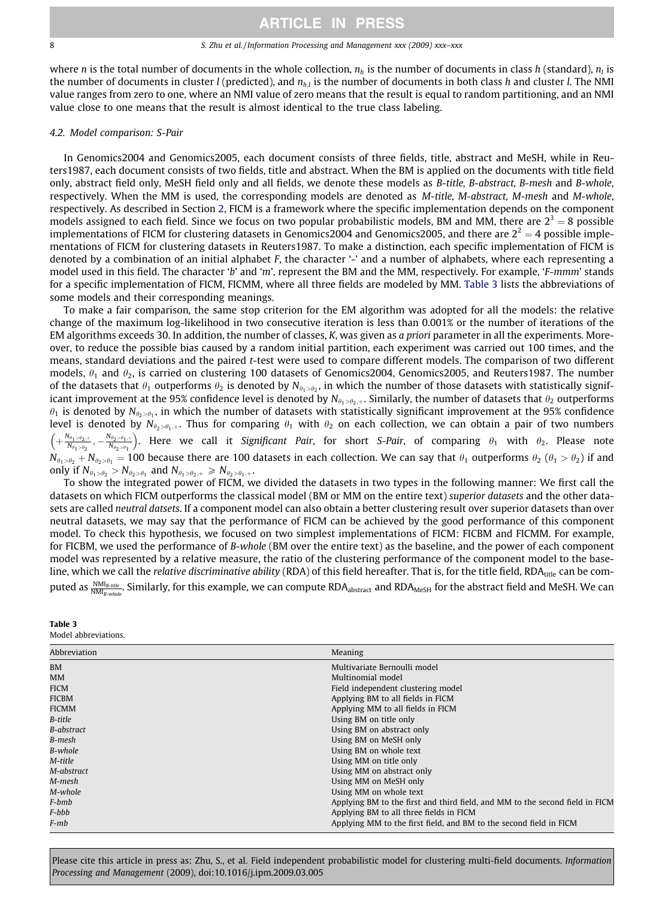#### 8 S. Zhu et al. / Information Processing and Management xxx (2009) xxx–xxx

where *n* is the total number of documents in the whole collection,  $n<sub>h</sub>$  is the number of documents in class h (standard),  $n<sub>h</sub>$  is the number of documents in cluster *l* (predicted), and  $n<sub>h,l</sub>$  is the number of documents in both class h and cluster l. The NMI value ranges from zero to one, where an NMI value of zero means that the result is equal to random partitioning, and an NMI value close to one means that the result is almost identical to the true class labeling.

## 4.2. Model comparison: S-Pair

In Genomics2004 and Genomics2005, each document consists of three fields, title, abstract and MeSH, while in Reuters1987, each document consists of two fields, title and abstract. When the BM is applied on the documents with title field only, abstract field only, MeSH field only and all fields, we denote these models as B-title, B-abstract, B-mesh and B-whole, respectively. When the MM is used, the corresponding models are denoted as M-title, M-abstract, M-mesh and M-whole, respectively. As described in Section 2, FICM is a framework where the specific implementation depends on the component models assigned to each field. Since we focus on two popular probabilistic models, BM and MM, there are  $2^3 = 8$  possible implementations of FICM for clustering datasets in Genomics2004 and Genomics2005, and there are  $2^2 = 4$  possible implementations of FICM for clustering datasets in Reuters1987. To make a distinction, each specific implementation of FICM is denoted by a combination of an initial alphabet F, the character '-' and a number of alphabets, where each representing a model used in this field. The character 'b' and 'm', represent the BM and the MM, respectively. For example, 'F-mmm' stands for a specific implementation of FICM, FICMM, where all three fields are modeled by MM. Table 3 lists the abbreviations of some models and their corresponding meanings.

To make a fair comparison, the same stop criterion for the EM algorithm was adopted for all the models: the relative change of the maximum log-likelihood in two consecutive iteration is less than 0.001% or the number of iterations of the EM algorithms exceeds 30. In addition, the number of classes, K, was given as a priori parameter in all the experiments. Moreover, to reduce the possible bias caused by a random initial partition, each experiment was carried out 100 times, and the means, standard deviations and the paired t-test were used to compare different models. The comparison of two different models,  $\theta_1$  and  $\theta_2$ , is carried on clustering 100 datasets of Genomics2004, Genomics2005, and Reuters1987. The number of the datasets that  $\theta_1$  outperforms  $\theta_2$  is denoted by N<sub> $\theta_1 > \theta_2$ </sub>, in which the number of those datasets with statistically significant improvement at the 95% confidence level is denoted by  $N_{\theta_1> \theta_2,\theta_3,+}$ . Similarly, the number of datasets that  $\theta_2$  outperforms  $\theta_1$  is denoted by N<sub> $\theta_2$ > $\theta_1$ </sub>, in which the number of datasets with statistically significant improvement at the 95% confidence level is denoted by  $N_{\theta_2>\theta_1,+}$ . Thus for comparing  $\theta_1$  with  $\theta_2$  on each collection, we can obtain a pair of two numbers  $+\frac{N_{\theta_1>\theta_2,+}}{N_{\theta_1>\theta_2}} ,-\frac{N_{\theta_2>\theta_1,+}}{N_{\theta_2>\theta_1}}$  $\left(+\frac{N_{\theta_1\geq\theta_2+}}{N_{\theta_1\geq\theta_1}}\right)$ . Here we call it Significant Pair, for short S-Pair, of comparing  $\theta_1$  with  $\theta_2$ . Please note  $N_{\theta_1>\theta_2}+N_{\theta_2>\theta_1}=100$  because there are 100 datasets in each collection. We can say that  $\theta_1$  outperforms  $\theta_2$  ( $\theta_1>\theta_2$ ) if and only if  $N_{\theta_1 > \theta_2} > N_{\theta_2 > \theta_1}$  and  $N_{\theta_1 > \theta_2,+} \ge N_{\theta_2 > \theta_1,+}$ .

To show the integrated power of FICM, we divided the datasets in two types in the following manner: We first call the datasets on which FICM outperforms the classical model (BM or MM on the entire text) superior datasets and the other datasets are called neutral datsets. If a component model can also obtain a better clustering result over superior datasets than over neutral datasets, we may say that the performance of FICM can be achieved by the good performance of this component model. To check this hypothesis, we focused on two simplest implementations of FICM: FICBM and FICMM. For example, for FICBM, we used the performance of B-whole (BM over the entire text) as the baseline, and the power of each component model was represented by a relative measure, the ratio of the clustering performance of the component model to the baseline, which we call the relative discriminative ability (RDA) of this field hereafter. That is, for the title field, RDA<sub>title</sub> can be computed as  $\frac{\text{NML}_{B-white}}{\text{NML}_{B-white}}$ . Similarly, for this example, we can compute RDA $_{\rm abstract}$  and RDA $_{\rm MeSH}$  for the abstract field and MeSH. We can

| Table 3             |  |
|---------------------|--|
| Model abbreviations |  |

| Abbreviation | Meaning                                                                      |
|--------------|------------------------------------------------------------------------------|
| <b>BM</b>    | Multivariate Bernoulli model                                                 |
| MM           | Multinomial model                                                            |
| <b>FICM</b>  | Field independent clustering model                                           |
| <b>FICBM</b> | Applying BM to all fields in FICM                                            |
| FICMM        | Applying MM to all fields in FICM                                            |
| B-title      | Using BM on title only                                                       |
| B-abstract   | Using BM on abstract only                                                    |
| B-mesh       | Using BM on MeSH only                                                        |
| B-whole      | Using BM on whole text                                                       |
| M-title      | Using MM on title only                                                       |
| M-abstract   | Using MM on abstract only                                                    |
| M-mesh       | Using MM on MeSH only                                                        |
| M-whole      | Using MM on whole text                                                       |
| F-bmb        | Applying BM to the first and third field, and MM to the second field in FICM |
| F-bbb        | Applying BM to all three fields in FICM                                      |
| F-mb         | Applying MM to the first field, and BM to the second field in FICM           |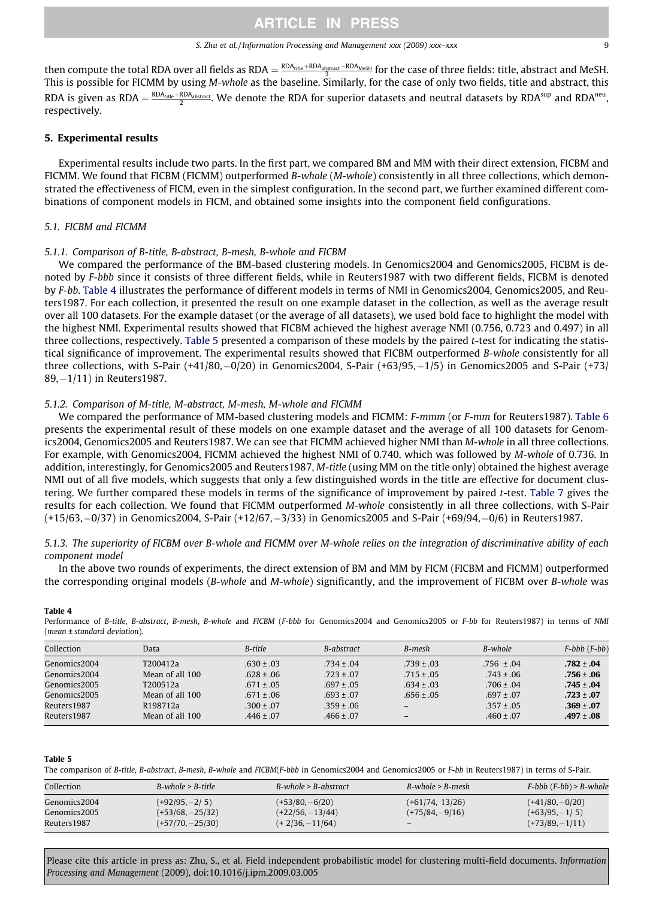#### S. Zhu et al./Information Processing and Management xxx (2009) xxx–xxx 9

then compute the total RDA over all fields as RDA  $=\frac{RDA_{\rm{dide}+RDA_{\rm{abstrad}}+RDA_{\rm{MeSH}}}{3}$  for the case of three fields: title, abstract and MeSH. This is possible for FICMM by using M-whole as the baseline. Similarly, for the case of only two fields, title and abstract, this RDA is given as RDA  $=\frac{\text{RDA}_{\text{title}}+\text{RDA}_{\text{abstract}}}{2}$ . We denote the RDA for superior datasets and neutral datasets by RDA $^{\text{sup}}$  and RDA $^{\text{neu}}$ , respectively.

## 5. Experimental results

Experimental results include two parts. In the first part, we compared BM and MM with their direct extension, FICBM and FICMM. We found that FICBM (FICMM) outperformed B-whole (M-whole) consistently in all three collections, which demonstrated the effectiveness of FICM, even in the simplest configuration. In the second part, we further examined different combinations of component models in FICM, and obtained some insights into the component field configurations.

## 5.1. FICBM and FICMM

### 5.1.1. Comparison of B-title, B-abstract, B-mesh, B-whole and FICBM

We compared the performance of the BM-based clustering models. In Genomics2004 and Genomics2005, FICBM is denoted by F-bbb since it consists of three different fields, while in Reuters1987 with two different fields, FICBM is denoted by F-bb. Table 4 illustrates the performance of different models in terms of NMI in Genomics2004, Genomics2005, and Reuters1987. For each collection, it presented the result on one example dataset in the collection, as well as the average result over all 100 datasets. For the example dataset (or the average of all datasets), we used bold face to highlight the model with the highest NMI. Experimental results showed that FICBM achieved the highest average NMI (0.756, 0.723 and 0.497) in all three collections, respectively. Table 5 presented a comparison of these models by the paired t-test for indicating the statistical significance of improvement. The experimental results showed that FICBM outperformed B-whole consistently for all three collections, with S-Pair (+41/80,-0/20) in Genomics2004, S-Pair (+63/95,-1/5) in Genomics2005 and S-Pair (+73/ 89,-1/11) in Reuters1987.

### 5.1.2. Comparison of M-title, M-abstract, M-mesh, M-whole and FICMM

We compared the performance of MM-based clustering models and FICMM: F-mmm (or F-mm for Reuters1987). [Table 6](#page-9-0) presents the experimental result of these models on one example dataset and the average of all 100 datasets for Genomics2004, Genomics2005 and Reuters1987. We can see that FICMM achieved higher NMI than M-whole in all three collections. For example, with Genomics2004, FICMM achieved the highest NMI of 0.740, which was followed by M-whole of 0.736. In addition, interestingly, for Genomics2005 and Reuters1987, M-title (using MM on the title only) obtained the highest average NMI out of all five models, which suggests that only a few distinguished words in the title are effective for document clustering. We further compared these models in terms of the significance of improvement by paired t-test. [Table 7](#page-9-0) gives the results for each collection. We found that FICMM outperformed M-whole consistently in all three collections, with S-Pair (+15/63,-0/37) in Genomics2004, S-Pair (+12/67,-3/33) in Genomics2005 and S-Pair (+69/94,-0/6) in Reuters1987.

## 5.1.3. The superiority of FICBM over B-whole and FICMM over M-whole relies on the integration of discriminative ability of each component model

In the above two rounds of experiments, the direct extension of BM and MM by FICM (FICBM and FICMM) outperformed the corresponding original models (B-whole and M-whole) significantly, and the improvement of FICBM over B-whole was

|--|--|

Performance of B-title, B-abstract, B-mesh, B-whole and FICBM (F-bbb for Genomics2004 and Genomics2005 or F-bb for Reuters1987) in terms of NMI (mean ± standard deviation).

| Collection   | Data                 | B-title        | B-abstract     | B-mesh         | B-whole        | $F$ -bbb $(F$ -bb $)$ |
|--------------|----------------------|----------------|----------------|----------------|----------------|-----------------------|
| Genomics2004 | T200412a             | $.630 \pm .03$ | $.734 \pm .04$ | $.739 \pm .03$ | $.756 \pm .04$ | $.782 \pm .04$        |
| Genomics2004 | Mean of all 100      | $.628 \pm .06$ | $.723 \pm .07$ | $.715 \pm .05$ | $.743 \pm .06$ | $.756 \pm .06$        |
| Genomics2005 | T200512a             | $.671 \pm .05$ | $.697 \pm .05$ | $.634 \pm .03$ | $.706 \pm .04$ | $.745 \pm .04$        |
| Genomics2005 | Mean of all 100      | $.671 \pm .06$ | $.693 \pm .07$ | $.656 \pm .05$ | $.697 \pm .07$ | $.723 \pm .07$        |
| Reuters1987  | R <sub>198712a</sub> | $.300 \pm .07$ | $.359 \pm .06$ |                | $.357 \pm .05$ | $.369 \pm .07$        |
| Reuters1987  | Mean of all 100      | $.446 \pm .07$ | $.466 \pm .07$ |                | $.460 \pm .07$ | $.497 \pm .08$        |

#### Table 5

The comparison of B-title, B-abstract, B-mesh, B-whole and FICBM(F-bbb in Genomics2004 and Genomics2005 or F-bb in Reuters1987) in terms of S-Pair.

| Collection   | $B$ -whole > $B$ -title | $B$ -whole > $B$ -abstract | $B$ -whole > $B$ -mesh   | $F$ -bbb $(F$ -bb $)$ > B-whole |
|--------------|-------------------------|----------------------------|--------------------------|---------------------------------|
| Genomics2004 | $(+92/95, -2/5)$        | $(+53/80, -6/20)$          | (+61/74, 13/26)          | $(+41/80, -0/20)$               |
| Genomics2005 | $(+53/68, -25/32)$      | $(+22/56, -13/44)$         | $(+75/84, -9/16)$        | $(+63/95, -1/5)$                |
| Reuters1987  | $(+57/70, -25/30)$      | $(+2/36,-11/64)$           | $\overline{\phantom{0}}$ | $(+73/89, -1/11)$               |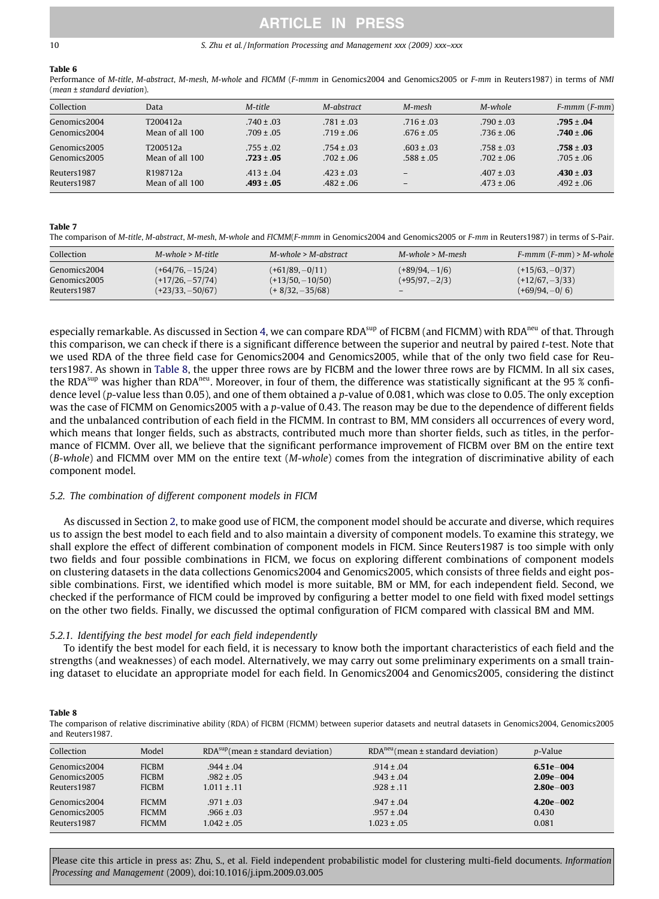#### <span id="page-9-0"></span>10 S. Zhu et al. / Information Processing and Management xxx (2009) xxx–xxx

## Table 6

Performance of M-title, M-abstract, M-mesh, M-whole and FICMM (F-mmm in Genomics2004 and Genomics2005 or F-mm in Reuters1987) in terms of NMI (mean ± standard deviation).

| Collection   | Data                 | M-title        | M-abstract     | M-mesh                       | M-whole        | $F-mmm(F-mm)$  |
|--------------|----------------------|----------------|----------------|------------------------------|----------------|----------------|
| Genomics2004 | T200412a             | $.740 \pm .03$ | $.781 \pm .03$ | $.716 \pm .03$               | $.790 \pm .03$ | $.795 \pm .04$ |
| Genomics2004 | Mean of all 100      | $.709 \pm .05$ | $.719 \pm .06$ | $.676 \pm .05$               | $.736 \pm .06$ | $.740 \pm .06$ |
| Genomics2005 | T200512a             | $.755 \pm .02$ | $.754 \pm .03$ | $.603 \pm .03$               | $.758 \pm .03$ | $.758 \pm .03$ |
| Genomics2005 | Mean of all 100      | $.723 \pm .05$ | $.702 \pm .06$ | $.588 \pm .05$               | $.702 \pm .06$ | $.705 \pm .06$ |
| Reuters 1987 | R <sub>198712a</sub> | $.413 \pm .04$ | $.423 \pm .03$ | $\qquad \qquad -$            | $.407 \pm .03$ | $.430 \pm .03$ |
| Reuters 1987 | Mean of all 100      | $.493 \pm .05$ | $.482 \pm .06$ | $\qquad \qquad \blacksquare$ | $.473 \pm .06$ | $.492 \pm .06$ |

#### Table 7

The comparison of M-title, M-abstract, M-mesh, M-whole and FICMM(F-mmm in Genomics2004 and Genomics2005 or F-mm in Reuters1987) in terms of S-Pair.

| Collection<br>$M$ -whole > M-title<br>$M$ -whole > $M$ -abstract<br>$M$ -whole > M-mesh<br>$(+61/89, -0/11)$<br>$(+64/76, -15/24)$<br>$(+15/63, -0/37)$<br>$(+89/94, -1/6)$<br>Genomics2004<br>$(+12/67, -3/33)$<br>$(+13/50, -10/50)$<br>$(+17/26, -57/74)$<br>$(+95/97, -2/3)$<br>Genomics2005 |             |                    |                  |                   |                         |
|--------------------------------------------------------------------------------------------------------------------------------------------------------------------------------------------------------------------------------------------------------------------------------------------------|-------------|--------------------|------------------|-------------------|-------------------------|
|                                                                                                                                                                                                                                                                                                  |             |                    |                  |                   | $F-mmm(F-mm) > M-whole$ |
|                                                                                                                                                                                                                                                                                                  | Reuters1987 | $(+23/33, -50/67)$ | $(+8/32,-35/68)$ | $\qquad \qquad -$ | $(+69/94, -0/6)$        |

especially remarkable. As discussed in Section 4, we can compare RDA<sup>sup</sup> of FICBM (and FICMM) with RDA<sup>neu</sup> of that. Through this comparison, we can check if there is a significant difference between the superior and neutral by paired t-test. Note that we used RDA of the three field case for Genomics2004 and Genomics2005, while that of the only two field case for Reuters1987. As shown in Table 8, the upper three rows are by FICBM and the lower three rows are by FICMM. In all six cases, the RDA<sup>sup</sup> was higher than RDA<sup>neu</sup>. Moreover, in four of them, the difference was statistically significant at the 95 % confidence level (p-value less than 0.05), and one of them obtained a p-value of 0.081, which was close to 0.05. The only exception was the case of FICMM on Genomics2005 with a p-value of 0.43. The reason may be due to the dependence of different fields and the unbalanced contribution of each field in the FICMM. In contrast to BM, MM considers all occurrences of every word, which means that longer fields, such as abstracts, contributed much more than shorter fields, such as titles, in the performance of FICMM. Over all, we believe that the significant performance improvement of FICBM over BM on the entire text (B-whole) and FICMM over MM on the entire text (M-whole) comes from the integration of discriminative ability of each component model.

## 5.2. The combination of different component models in FICM

As discussed in Section 2, to make good use of FICM, the component model should be accurate and diverse, which requires us to assign the best model to each field and to also maintain a diversity of component models. To examine this strategy, we shall explore the effect of different combination of component models in FICM. Since Reuters1987 is too simple with only two fields and four possible combinations in FICM, we focus on exploring different combinations of component models on clustering datasets in the data collections Genomics2004 and Genomics2005, which consists of three fields and eight possible combinations. First, we identified which model is more suitable, BM or MM, for each independent field. Second, we checked if the performance of FICM could be improved by configuring a better model to one field with fixed model settings on the other two fields. Finally, we discussed the optimal configuration of FICM compared with classical BM and MM.

## 5.2.1. Identifying the best model for each field independently

To identify the best model for each field, it is necessary to know both the important characteristics of each field and the strengths (and weaknesses) of each model. Alternatively, we may carry out some preliminary experiments on a small training dataset to elucidate an appropriate model for each field. In Genomics2004 and Genomics2005, considering the distinct

#### Table 8

The comparison of relative discriminative ability (RDA) of FICBM (FICMM) between superior datasets and neutral datasets in Genomics2004, Genomics2005 and Reuters1987.

| Collection   | Model        | $RDAsup$ (mean ± standard deviation) | $RDAneu$ (mean $\pm$ standard deviation) | <i>p</i> -Value |
|--------------|--------------|--------------------------------------|------------------------------------------|-----------------|
| Genomics2004 | <b>FICBM</b> | $.944 \pm .04$                       | $.914 \pm .04$                           | $6.51e - 004$   |
| Genomics2005 | <b>FICBM</b> | $.982 \pm .05$                       | $.943 \pm .04$                           | $2.09e - 004$   |
| Reuters1987  | <b>FICBM</b> | $1.011 \pm .11$                      | $.928 \pm .11$                           | $2.80e - 003$   |
| Genomics2004 | <b>FICMM</b> | $.971 \pm .03$                       | $.947 \pm .04$                           | $4.20e - 002$   |
| Genomics2005 | <b>FICMM</b> | $.966 \pm .03$                       | $.957 \pm .04$                           | 0.430           |
| Reuters 1987 | <b>FICMM</b> | $1.042 \pm .05$                      | $1.023 \pm .05$                          | 0.081           |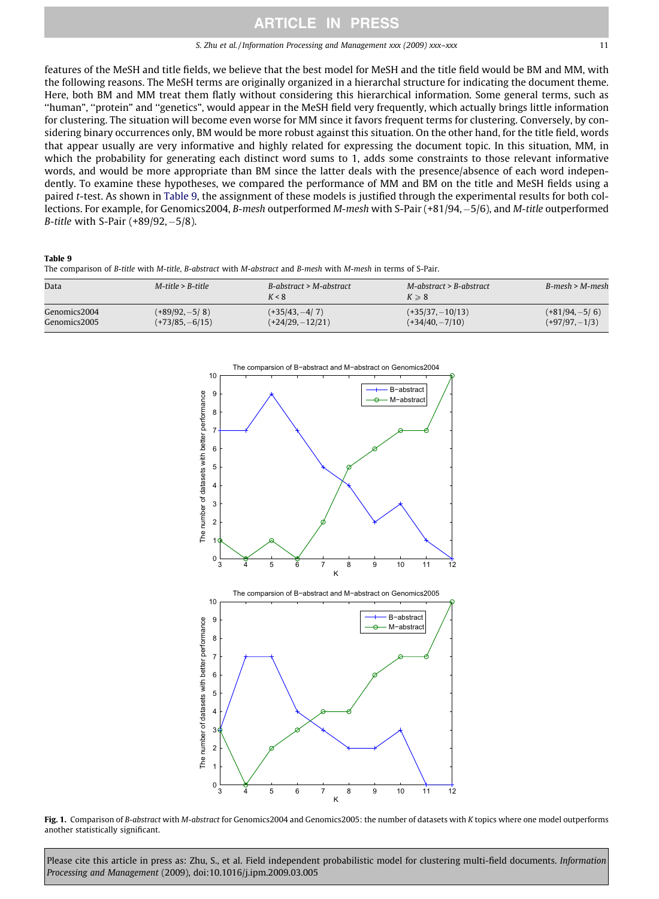#### S. Zhu et al. / Information Processing and Management xxx (2009) xxx–xxx 11

<span id="page-10-0"></span>features of the MeSH and title fields, we believe that the best model for MeSH and the title field would be BM and MM, with the following reasons. The MeSH terms are originally organized in a hierarchal structure for indicating the document theme. Here, both BM and MM treat them flatly without considering this hierarchical information. Some general terms, such as ''human", ''protein" and ''genetics", would appear in the MeSH field very frequently, which actually brings little information for clustering. The situation will become even worse for MM since it favors frequent terms for clustering. Conversely, by considering binary occurrences only, BM would be more robust against this situation. On the other hand, for the title field, words that appear usually are very informative and highly related for expressing the document topic. In this situation, MM, in which the probability for generating each distinct word sums to 1, adds some constraints to those relevant informative words, and would be more appropriate than BM since the latter deals with the presence/absence of each word independently. To examine these hypotheses, we compared the performance of MM and BM on the title and MeSH fields using a paired t-test. As shown in Table 9, the assignment of these models is justified through the experimental results for both collections. For example, for Genomics2004, *B-mesh* outperformed *M-mesh with S-Pair (+81/94, –5/6), and M-title outperformed* B-title with S-Pair (+89/92,-5/8).

## Table 9

The comparison of B-title with M-title, B-abstract with M-abstract and B-mesh with M-mesh in terms of S-Pair.

| Data         | $M$ -title > B-title | $B-a$ <i>bstract</i> > $M-a$ <i>bstract</i><br>K < 8 | $M$ -abstract > B-abstract<br>$K \geqslant 8$ | $B$ -mesh > M-mesh |
|--------------|----------------------|------------------------------------------------------|-----------------------------------------------|--------------------|
| Genomics2004 | $(+89/92, -5/8)$     | $(+35/43,-4/7)$                                      | $(+35/37, -10/13)$                            | $(+81/94, -5/6)$   |
| Genomics2005 | $(+73/85, -6/15)$    | $(+24/29, -12/21)$                                   | $(+34/40, -7/10)$                             | $(+97/97, -1/3)$   |



Fig. 1. Comparison of B-abstract with M-abstract for Genomics2004 and Genomics2005: the number of datasets with K topics where one model outperforms another statistically significant.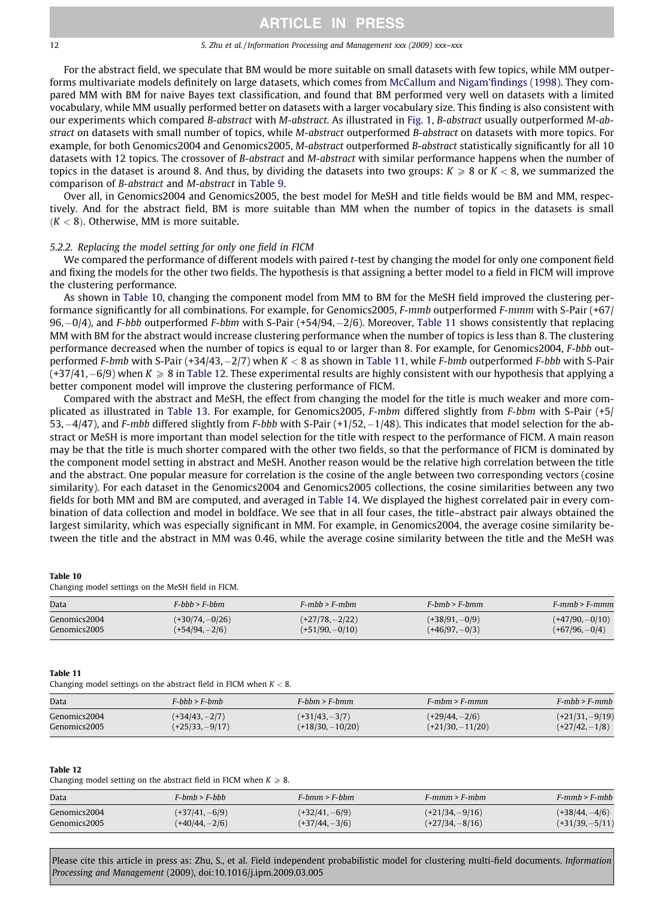#### 12 S. Zhu et al. / Information Processing and Management xxx (2009) xxx–xxx

For the abstract field, we speculate that BM would be more suitable on small datasets with few topics, while MM outperforms multivariate models definitely on large datasets, which comes from [McCallum and Nigam'findings \(1998\)](#page-15-0). They compared MM with BM for naive Bayes text classification, and found that BM performed very well on datasets with a limited vocabulary, while MM usually performed better on datasets with a larger vocabulary size. This finding is also consistent with our experiments which compared B-abstract with M-abstract. As illustrated in [Fig. 1,](#page-10-0) B-abstract usually outperformed M-abstract on datasets with small number of topics, while M-abstract outperformed B-abstract on datasets with more topics. For example, for both Genomics2004 and Genomics2005, M-abstract outperformed B-abstract statistically significantly for all 10 datasets with 12 topics. The crossover of B-abstract and M-abstract with similar performance happens when the number of topics in the dataset is around 8. And thus, by dividing the datasets into two groups:  $K \ge 8$  or  $K < 8$ , we summarized the comparison of B-abstract and M-abstract in [Table 9](#page-10-0).

Over all, in Genomics2004 and Genomics2005, the best model for MeSH and title fields would be BM and MM, respectively. And for the abstract field, BM is more suitable than MM when the number of topics in the datasets is small  $(K < 8)$ . Otherwise, MM is more suitable.

## 5.2.2. Replacing the model setting for only one field in FICM

We compared the performance of different models with paired t-test by changing the model for only one component field and fixing the models for the other two fields. The hypothesis is that assigning a better model to a field in FICM will improve the clustering performance.

As shown in Table 10, changing the component model from MM to BM for the MeSH field improved the clustering performance significantly for all combinations. For example, for Genomics2005, F-mmb outperformed F-mmm with S-Pair (+67/ 96,–0/4), and F-bbb outperformed F-bbm with S-Pair (+54/94,–2/6). Moreover, Table 11 shows consistently that replacing MM with BM for the abstract would increase clustering performance when the number of topics is less than 8. The clustering performance decreased when the number of topics is equal to or larger than 8. For example, for Genomics2004, F-bbb outperformed F-bmb with S-Pair (+34/43,–2/7) when K < 8 as shown in Table 11, while F-bmb outperformed F-bbb with S-Pair (+37/41,–6/9) when K  $\geqslant 8$  in Table 12. These experimental results are highly consistent with our hypothesis that applying a better component model will improve the clustering performance of FICM.

Compared with the abstract and MeSH, the effect from changing the model for the title is much weaker and more complicated as illustrated in [Table 13.](#page-12-0) For example, for Genomics2005, F-mbm differed slightly from F-bbm with S-Pair (+5/ 53,–4/47), and F-mbb differed slightly from F-bbb with S-Pair (+1/52,–1/48). This indicates that model selection for the abstract or MeSH is more important than model selection for the title with respect to the performance of FICM. A main reason may be that the title is much shorter compared with the other two fields, so that the performance of FICM is dominated by the component model setting in abstract and MeSH. Another reason would be the relative high correlation between the title and the abstract. One popular measure for correlation is the cosine of the angle between two corresponding vectors (cosine similarity). For each dataset in the Genomics2004 and Genomics2005 collections, the cosine similarities between any two fields for both MM and BM are computed, and averaged in [Table 14.](#page-12-0) We displayed the highest correlated pair in every combination of data collection and model in boldface. We see that in all four cases, the title–abstract pair always obtained the largest similarity, which was especially significant in MM. For example, in Genomics2004, the average cosine similarity between the title and the abstract in MM was 0.46, while the average cosine similarity between the title and the MeSH was

#### Table 10

Changing model settings on the MeSH field in FICM.

| Data         | $F$ -bhb > $F$ -bhm | $F-mhh > F-mhm$   | $F-hmh > F-hmm$  | $F-mmh > F-mmm$   |
|--------------|---------------------|-------------------|------------------|-------------------|
| Genomics2004 | $(+30/74, -0/26)$   | $(+27/78, -2/22)$ | $(+38/91, -0/9)$ | $(+47/90, -0/10)$ |
| Genomics2005 | $(+54/94, -2/6)$    | $(+51/90, -0/10)$ | $(+46/97, -0/3)$ | $(+67/96, -0/4)$  |

#### Table 11

Changing model settings on the abstract field in FICM when  $K < 8$ .

| Data         | $F\text{-}hhh > F\text{-}hmh$ | $F\text{-}bbm > F\text{-}bmm$ | $F-mbm > F-mmm$    | $F-mhb > F-mmb$   |
|--------------|-------------------------------|-------------------------------|--------------------|-------------------|
| Genomics2004 | $(+34/43,-2/7)$               | $(+31/43,-3/7)$               | $(+29/44, -2/6)$   | $(+21/31, -9/19)$ |
| Genomics2005 | $(+25/33, -9/17)$             | $(+18/30, -10/20)$            | $(+21/30, -11/20)$ | $(+27/42,-1/8)$   |

#### Table 12

Changing model setting on the abstract field in FICM when  $K \ge 8$ .

| Data         | $F-hmb > F-bbb$  | $F\text{-}bmm > F\text{-}bbm$ | $F-mmm > F-mbm$   | $F-mmh > F-mhh$   |
|--------------|------------------|-------------------------------|-------------------|-------------------|
| Genomics2004 | $(+37/41, -6/9)$ | $(+32/41,-6/9)$               | $(+21/34, -9/16)$ | $(+38/44, -4/6)$  |
| Genomics2005 | $(+40/44, -2/6)$ | $(+37/44, -3/6)$              | $(+27/34, -8/16)$ | $(+31/39, -5/11)$ |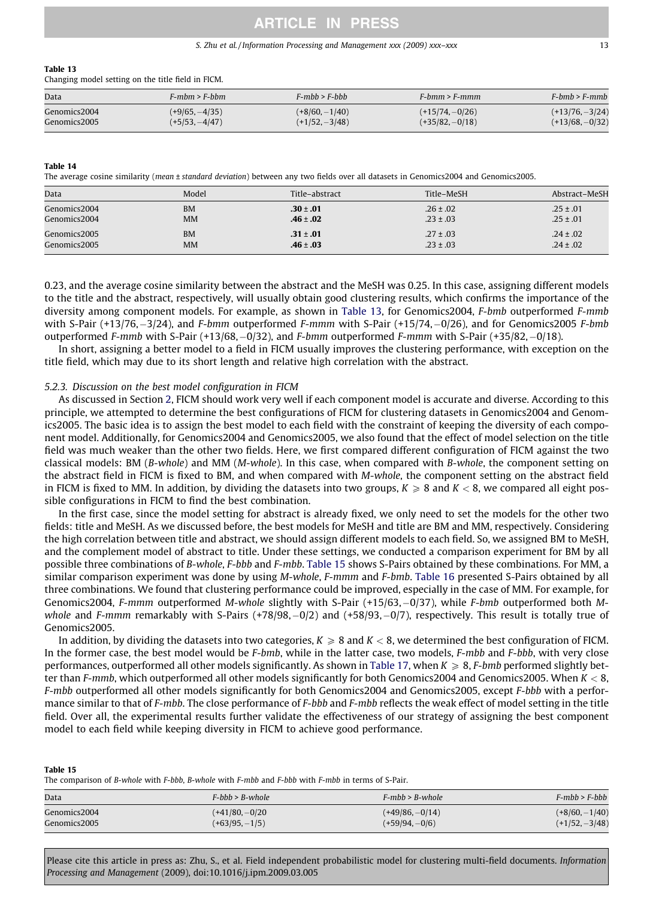### S. Zhu et al. / Information Processing and Management xxx (2009) xxx–xxx 13

#### <span id="page-12-0"></span>Table 13

Changing model setting on the title field in FICM.

| Data         | F-mbm > F-bbm    | $F-mhh > F-bhh$  | $F\text{-}hmm > F\text{-}mmm$ | $F-hmb > F-mmb$   |
|--------------|------------------|------------------|-------------------------------|-------------------|
| Genomics2004 | $(+9/65, -4/35)$ | $(+8/60, -1/40)$ | $(+15/74, -0/26)$             | $(+13/76, -3/24)$ |
| Genomics2005 | $(+5/53, -4/47)$ | $(+1/52, -3/48)$ | $(+35/82, -0/18)$             | $(+13/68, -0/32)$ |

#### Table 14

The average cosine similarity (mean ± standard deviation) between any two fields over all datasets in Genomics2004 and Genomics2005.

| Data         | Model     | Title-abstract | Title-MeSH    | Abstract-MeSH |
|--------------|-----------|----------------|---------------|---------------|
| Genomics2004 | <b>BM</b> | $.30 \pm .01$  | $.26 \pm .02$ | $.25 \pm .01$ |
| Genomics2004 | <b>MM</b> | $.46 \pm .02$  | $.23 \pm .03$ | $.25 \pm .01$ |
| Genomics2005 | <b>BM</b> | $.31 \pm .01$  | $.27 \pm .03$ | $.24 \pm .02$ |
| Genomics2005 | <b>MM</b> | $.46 \pm .03$  | $.23 \pm .03$ | $.24 \pm .02$ |

0.23, and the average cosine similarity between the abstract and the MeSH was 0.25. In this case, assigning different models to the title and the abstract, respectively, will usually obtain good clustering results, which confirms the importance of the diversity among component models. For example, as shown in Table 13, for Genomics2004, F-bmb outperformed F-mmb with S-Pair (+13/76,–3/24), and F-bmm outperformed F-mmm with S-Pair (+15/74,–0/26), and for Genomics2005 F-bmb outperformed F-mmb with S-Pair (+13/68, –0/32), and F-bmm outperformed F-mmm with S-Pair (+35/82, –0/18).

In short, assigning a better model to a field in FICM usually improves the clustering performance, with exception on the title field, which may due to its short length and relative high correlation with the abstract.

## 5.2.3. Discussion on the best model configuration in FICM

As discussed in Section 2, FICM should work very well if each component model is accurate and diverse. According to this principle, we attempted to determine the best configurations of FICM for clustering datasets in Genomics2004 and Genomics2005. The basic idea is to assign the best model to each field with the constraint of keeping the diversity of each component model. Additionally, for Genomics2004 and Genomics2005, we also found that the effect of model selection on the title field was much weaker than the other two fields. Here, we first compared different configuration of FICM against the two classical models: BM (B-whole) and MM (M-whole). In this case, when compared with B-whole, the component setting on the abstract field in FICM is fixed to BM, and when compared with M-whole, the component setting on the abstract field in FICM is fixed to MM. In addition, by dividing the datasets into two groups,  $K \ge 8$  and  $K < 8$ , we compared all eight possible configurations in FICM to find the best combination.

In the first case, since the model setting for abstract is already fixed, we only need to set the models for the other two fields: title and MeSH. As we discussed before, the best models for MeSH and title are BM and MM, respectively. Considering the high correlation between title and abstract, we should assign different models to each field. So, we assigned BM to MeSH, and the complement model of abstract to title. Under these settings, we conducted a comparison experiment for BM by all possible three combinations of B-whole, F-bbb and F-mbb. Table 15 shows S-Pairs obtained by these combinations. For MM, a similar comparison experiment was done by using M-whole, F-mmm and F-bmb. [Table 16](#page-13-0) presented S-Pairs obtained by all three combinations. We found that clustering performance could be improved, especially in the case of MM. For example, for Genomics2004, F-mmm outperformed M-whole slightly with S-Pair (+15/63,-0/37), while F-bmb outperformed both Mwhole and F-mmm remarkably with S-Pairs (+78/98,–0/2) and (+58/93,–0/7), respectively. This result is totally true of Genomics2005.

In addition, by dividing the datasets into two categories,  $K \ge 8$  and  $K < 8$ , we determined the best configuration of FICM. In the former case, the best model would be F-bmb, while in the latter case, two models, F-mbb and F-bbb, with very close performances, outperformed all other models significantly. As shown in [Table 17,](#page-13-0) when  $K \geq 8$ , F-bmb performed slightly better than F-mmb, which outperformed all other models significantly for both Genomics2004 and Genomics2005. When  $K < 8$ , F-mbb outperformed all other models significantly for both Genomics2004 and Genomics2005, except F-bbb with a performance similar to that of F-mbb. The close performance of F-bbb and F-mbb reflects the weak effect of model setting in the title field. Over all, the experimental results further validate the effectiveness of our strategy of assigning the best component model to each field while keeping diversity in FICM to achieve good performance.

#### Table 15

The comparison of B-whole with F-bbb, B-whole with F-mbb and F-bbb with F-mbb in terms of S-Pair.

| Data         | $F$ -bhb > B-whole | $F-mbh > B-whole$ | $F-mbb > F-bbb$  |
|--------------|--------------------|-------------------|------------------|
| Genomics2004 | $(+41/80, -0/20)$  | $(+49/86, -0/14)$ | $(+8/60, -1/40)$ |
| Genomics2005 | $(+63/95, -1/5)$   | $(+59/94, -0/6)$  | $(+1/52,-3/48)$  |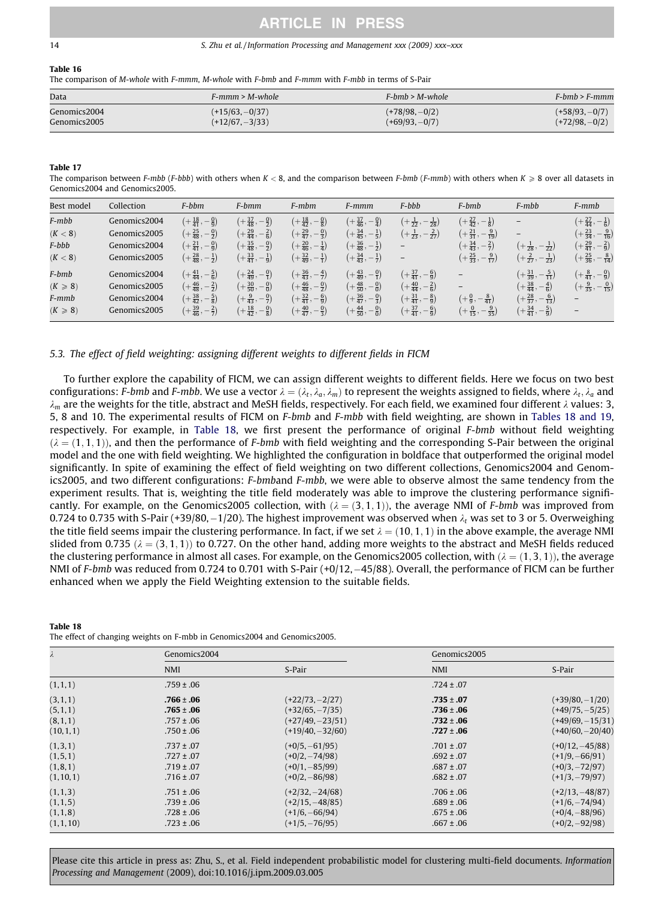#### 14 S. Zhu et al. / Information Processing and Management xxx (2009) xxx–xxx

#### Table 16

The comparison of M-whole with F-mmm, M-whole with F-bmb and F-mmm with F-mbb in terms of S-Pair

| Data         | $F-mmm > M-whole$ | $F-hmh > M$ -whole | $F-bmb > F-mmm$  |
|--------------|-------------------|--------------------|------------------|
| Genomics2004 | $(+15/63, -0/37)$ | $(+78/98, -0/2)$   | $(+58/93, -0/7)$ |
| Genomics2005 | $(+12/67, -3/33)$ | $(+69/93, -0/7)$   | $(+72/98, -0/2)$ |

#### Table 17

The comparison between F-mbb (F-bbb) with others when  $K < 8$ , and the comparison between F-bmb (F-mmb) with others when  $K \ge 8$  over all datasets in Genomics2004 and Genomics2005.

| Best model  | Collection   | F-bbm                                      | F-bmm                                       | $F-mbm$                                    | F-mmm                                       | F-bbb                                      | F-bmb                                       | $F-mhh$                                      | F-mmb                                       |
|-------------|--------------|--------------------------------------------|---------------------------------------------|--------------------------------------------|---------------------------------------------|--------------------------------------------|---------------------------------------------|----------------------------------------------|---------------------------------------------|
| F-mbb       | Genomics2004 | $\left(+\frac{18}{41},-\frac{0}{9}\right)$ | $\left(+\frac{37}{48},-\frac{0}{2}\right)$  | $\left(+\frac{18}{42},-\frac{0}{8}\right)$ | $\left(+\frac{37}{46},-\frac{0}{4}\right)$  | $\left(+\frac{1}{22},-\frac{1}{28}\right)$ | $\left(+\frac{27}{42},-\frac{1}{8}\right)$  |                                              | $\left(+\frac{27}{44},-\frac{1}{6}\right)$  |
| (K < 8)     | Genomics2005 | $\left(+\frac{25}{48},-\frac{0}{2}\right)$ | $\left(+\frac{29}{44},-\frac{2}{6}\right)$  | $\left(+\frac{29}{47},-\frac{0}{3}\right)$ | $\left(+\frac{34}{45},-\frac{1}{5}\right)$  | $\left(+\frac{1}{23},-\frac{2}{27}\right)$ | $\left(+\frac{21}{31},-\frac{9}{19}\right)$ |                                              | $\left(+\frac{23}{34},-\frac{9}{16}\right)$ |
| F-bbb       | Genomics2004 | $\left(+\frac{21}{41},-\frac{0}{9}\right)$ | $\left(+\frac{35}{48},-\frac{0}{2}\right)$  | $\left(+\frac{20}{46},-\frac{1}{4}\right)$ | $\left(+\frac{36}{48},-\frac{1}{2}\right)$  |                                            | $\left(+\frac{34}{43},-\frac{2}{7}\right)$  | $\left(+\frac{1}{28},-\frac{1}{22}\right)$   | $\left(+\frac{29}{41},-\frac{2}{9}\right)$  |
| (K < 8)     | Genomics2005 | $\left(+\frac{28}{48},-\frac{1}{2}\right)$ | $\left(+\frac{33}{41},-\frac{1}{9}\right)$  | $\left(+\frac{32}{49},-\frac{1}{1}\right)$ | $\left(+\frac{34}{43},-\frac{1}{7}\right)$  | $\qquad \qquad -$                          | $\left(+\frac{25}{33},-\frac{9}{17}\right)$ | $\left(+\frac{2}{27},-\frac{1}{23}\right)$   | $\left(+\frac{25}{36},-\frac{8}{14}\right)$ |
| F-bmb       | Genomics2004 | $\left(+\frac{41}{44},-\frac{5}{6}\right)$ | $\left(+\frac{24}{49}, -\frac{0}{1}\right)$ | $\left(+\frac{36}{43},-\frac{4}{7}\right)$ | $\left(+\frac{43}{49}, -\frac{0}{1}\right)$ | $\left(+\frac{37}{41},-\frac{6}{9}\right)$ |                                             | $\left(+\frac{31}{39}, -\frac{5}{11}\right)$ | $\left(+\frac{8}{41},-\frac{0}{9}\right)$   |
| $(K \ge 8)$ | Genomics2005 | $\left(+\frac{46}{48},-\frac{2}{2}\right)$ | $\left(+\frac{30}{50},-\frac{0}{0}\right)$  | $\left(+\frac{46}{48},-\frac{0}{2}\right)$ | $\left(+\frac{48}{50},-\frac{0}{0}\right)$  | $\left(+\frac{40}{44},-\frac{2}{6}\right)$ |                                             | $\left(+\frac{38}{44},-\frac{4}{6}\right)$   | $\left(+\frac{9}{35},-\frac{0}{15}\right)$  |
| F-mmb       | Genomics2004 | $\left(+\frac{38}{42},-\frac{5}{8}\right)$ | $\left(+\frac{9}{43},-\frac{0}{7}\right)$   | $\left(+\frac{32}{41},-\frac{6}{9}\right)$ | $\left(+\frac{36}{47},-\frac{0}{3}\right)$  | $\left(+\frac{31}{41},-\frac{8}{9}\right)$ | $\left(+\frac{0}{9}, -\frac{8}{41}\right)$  | $\left(+\frac{28}{37},-\frac{6}{13}\right)$  |                                             |
| $(K \ge 8)$ | Genomics2005 | $\left(+\frac{39}{46},-\frac{2}{7}\right)$ | $\left(+\frac{18}{42},-\frac{0}{8}\right)$  | $\left(+\frac{40}{47},-\frac{0}{3}\right)$ | $\left(+\frac{44}{50},-\frac{0}{0}\right)$  | $\left(+\frac{37}{41},-\frac{6}{9}\right)$ | $\left(+\frac{0}{15},-\frac{9}{35}\right)$  | $\left(+\frac{34}{41},-\frac{5}{9}\right)$   |                                             |

## 5.3. The effect of field weighting: assigning different weights to different fields in FICM

To further explore the capability of FICM, we can assign different weights to different fields. Here we focus on two best configurations: F-bmb and F-mbb. We use a vector  $\lambda = (\lambda_t, \lambda_a, \lambda_m)$  to represent the weights assigned to fields, where  $\lambda_t, \lambda_a$  and  $\lambda_m$  are the weights for the title, abstract and MeSH fields, respectively. For each field, we examined four different  $\lambda$  values: 3, 5, 8 and 10. The experimental results of FICM on F-bmb and F-mbb with field weighting, are shown in Tables 18 and 19, respectively. For example, in Table 18, we first present the performance of original F-bmb without field weighting  $(\lambda = (1, 1, 1))$ , and then the performance of F-bmb with field weighting and the corresponding S-Pair between the original model and the one with field weighting. We highlighted the configuration in boldface that outperformed the original model significantly. In spite of examining the effect of field weighting on two different collections, Genomics2004 and Genomics2005, and two different configurations: F-bmband F-mbb, we were able to observe almost the same tendency from the experiment results. That is, weighting the title field moderately was able to improve the clustering performance significantly. For example, on the Genomics2005 collection, with  $(\lambda = (3, 1, 1))$ , the average NMI of F-bmb was improved from 0.724 to 0.735 with S-Pair (+39/80, $-1/2$ 0). The highest improvement was observed when  $\lambda_t$  was set to 3 or 5. Overweighing the title field seems impair the clustering performance. In fact, if we set  $\lambda = (10, 1, 1)$  in the above example, the average NMI slided from 0.735  $(\lambda = (3, 1, 1))$  to 0.727. On the other hand, adding more weights to the abstract and MeSH fields reduced the clustering performance in almost all cases. For example, on the Genomics2005 collection, with  $(\lambda = (1, 3, 1))$ , the average NMI of F-bmb was reduced from 0.724 to 0.701 with S-Pair (+0/12,–45/88). Overall, the performance of FICM can be further enhanced when we apply the Field Weighting extension to the suitable fields.

| Table 18 |                                                                             |
|----------|-----------------------------------------------------------------------------|
|          | The effect of changing weights on F-mbb in Genomics 2004 and Genomics 2005. |

| $\lambda$  | Genomics2004   |                    | Genomics2005   |                    |  |  |
|------------|----------------|--------------------|----------------|--------------------|--|--|
|            | <b>NMI</b>     | S-Pair             | <b>NMI</b>     | S-Pair             |  |  |
| (1, 1, 1)  | $.759 \pm .06$ |                    | $.724 \pm .07$ |                    |  |  |
| (3, 1, 1)  | $.766 \pm .06$ | $(+22/73,-2/27)$   | $.735 \pm .07$ | $(+39/80,-1/20)$   |  |  |
| (5,1,1)    | $.765\pm.06$   | $(+32/65, -7/35)$  | $.736 \pm .06$ | $(+49/75, -5/25)$  |  |  |
| (8, 1, 1)  | $.757 \pm .06$ | $(+27/49, -23/51)$ | $.732 \pm .06$ | $(+49/69, -15/31)$ |  |  |
| (10, 1, 1) | $.750 \pm .06$ | $(+19/40, -32/60)$ | $.727 \pm .06$ | $(+40/60, -20/40)$ |  |  |
| (1,3,1)    | $.737 \pm .07$ | $(+0/5, -61/95)$   | $.701 \pm .07$ | $(+0/12,-45/88)$   |  |  |
| (1, 5, 1)  | $.727 \pm .07$ | $(+0/2, -74/98)$   | $.692 \pm .07$ | $(+1/9, -66/91)$   |  |  |
| (1, 8, 1)  | $.719 \pm .07$ | $(+0/1, -85/99)$   | $.687 \pm .07$ | $(+0/3, -72/97)$   |  |  |
| (1, 10, 1) | $.716 \pm .07$ | $(+0/2, -86/98)$   | $.682 \pm .07$ | $(+1/3, -79/97)$   |  |  |
| (1, 1, 3)  | $.751 \pm .06$ | $(+2/32, -24/68)$  | $.706 \pm .06$ | $(+2/13, -48/87)$  |  |  |
| (1, 1, 5)  | $.739 \pm .06$ | $(+2/15, -48/85)$  | $.689 \pm .06$ | $(+1/6, -74/94)$   |  |  |
| (1,1,8)    | $.728 \pm .06$ | $(+1/6, -66/94)$   | $.675 \pm .06$ | $(+0/4, -88/96)$   |  |  |
| (1,1,10)   | $.723 \pm .06$ | $(+1/5, -76/95)$   | $.667 \pm .06$ | $(+0/2, -92/98)$   |  |  |

<span id="page-13-0"></span>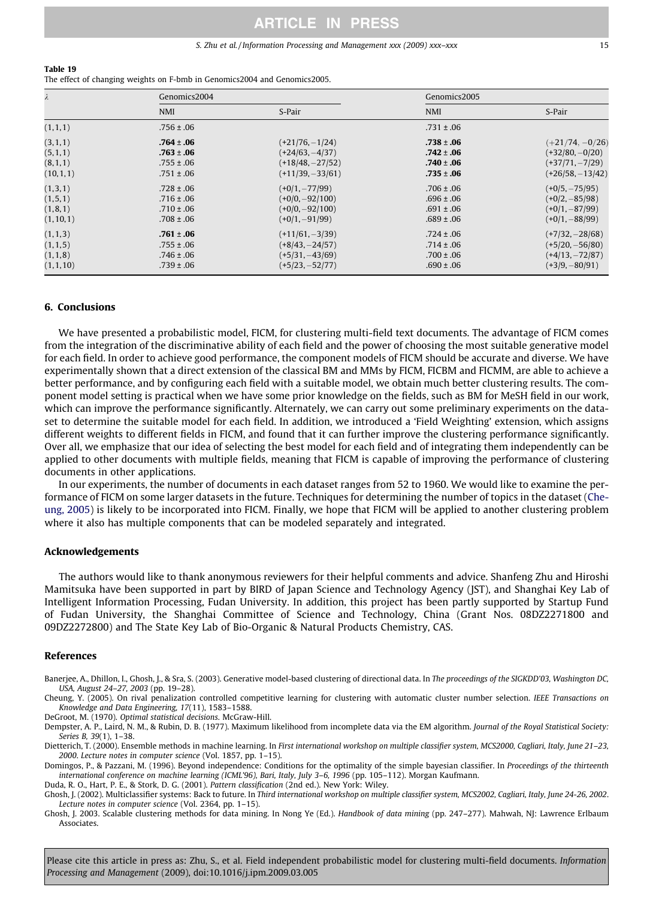#### S. Zhu et al./Information Processing and Management xxx (2009) xxx–xxx 15

#### <span id="page-14-0"></span>Table 19

The effect of changing weights on F-bmb in Genomics2004 and Genomics2005.

| $\lambda$  | Genomics2004   |                    | Genomics2005   |                    |
|------------|----------------|--------------------|----------------|--------------------|
|            | <b>NMI</b>     | S-Pair             | <b>NMI</b>     | S-Pair             |
| (1, 1, 1)  | $.756 \pm .06$ |                    | $.731 \pm .06$ |                    |
| (3, 1, 1)  | $.764 \pm .06$ | $(+21/76,-1/24)$   | $.738 \pm .06$ | $(+21/74, -0/26)$  |
| (5,1,1)    | $.763 \pm .06$ | $(+24/63, -4/37)$  | $.742 \pm .06$ | $(+32/80, -0/20)$  |
| (8, 1, 1)  | $.755 \pm .06$ | $(+18/48, -27/52)$ | $.740 \pm .06$ | $(+37/71, -7/29)$  |
| (10, 1, 1) | $.751 \pm .06$ | $(+11/39, -33/61)$ | $.735 \pm .06$ | $(+26/58, -13/42)$ |
| (1,3,1)    | $.728 \pm .06$ | $(+0/1, -77/99)$   | $.706 \pm .06$ | $(+0/5, -75/95)$   |
| (1, 5, 1)  | $.716 \pm .06$ | $(+0/0, -92/100)$  | $.696 \pm .06$ | $(+0/2, -85/98)$   |
| (1, 8, 1)  | $.710 \pm .06$ | $(+0/0, -92/100)$  | $.691 \pm .06$ | $(+0/1, -87/99)$   |
| (1, 10, 1) | $.708 \pm .06$ | $(+0/1, -91/99)$   | $.689 \pm .06$ | $(+0/1, -88/99)$   |
| (1, 1, 3)  | $.761 \pm .06$ | $(+11/61, -3/39)$  | $.724 \pm .06$ | $(+7/32, -28/68)$  |
| (1, 1, 5)  | $.755 \pm .06$ | $(+8/43, -24/57)$  | $.714 \pm .06$ | $(+5/20, -56/80)$  |
| (1, 1, 8)  | $.746 \pm .06$ | $(+5/31, -43/69)$  | $.700 \pm .06$ | $(+4/13, -72/87)$  |
| (1, 1, 10) | $.739 \pm .06$ | $(+5/23, -52/77)$  | $.690 \pm .06$ | $(+3/9, -80/91)$   |

## 6. Conclusions

We have presented a probabilistic model, FICM, for clustering multi-field text documents. The advantage of FICM comes from the integration of the discriminative ability of each field and the power of choosing the most suitable generative model for each field. In order to achieve good performance, the component models of FICM should be accurate and diverse. We have experimentally shown that a direct extension of the classical BM and MMs by FICM, FICBM and FICMM, are able to achieve a better performance, and by configuring each field with a suitable model, we obtain much better clustering results. The component model setting is practical when we have some prior knowledge on the fields, such as BM for MeSH field in our work, which can improve the performance significantly. Alternately, we can carry out some preliminary experiments on the dataset to determine the suitable model for each field. In addition, we introduced a 'Field Weighting' extension, which assigns different weights to different fields in FICM, and found that it can further improve the clustering performance significantly. Over all, we emphasize that our idea of selecting the best model for each field and of integrating them independently can be applied to other documents with multiple fields, meaning that FICM is capable of improving the performance of clustering documents in other applications.

In our experiments, the number of documents in each dataset ranges from 52 to 1960. We would like to examine the performance of FICM on some larger datasets in the future. Techniques for determining the number of topics in the dataset (Cheung, 2005) is likely to be incorporated into FICM. Finally, we hope that FICM will be applied to another clustering problem where it also has multiple components that can be modeled separately and integrated.

### Acknowledgements

The authors would like to thank anonymous reviewers for their helpful comments and advice. Shanfeng Zhu and Hiroshi Mamitsuka have been supported in part by BIRD of Japan Science and Technology Agency (JST), and Shanghai Key Lab of Intelligent Information Processing, Fudan University. In addition, this project has been partly supported by Startup Fund of Fudan University, the Shanghai Committee of Science and Technology, China (Grant Nos. 08DZ2271800 and 09DZ2272800) and The State Key Lab of Bio-Organic & Natural Products Chemistry, CAS.

## References

Banerjee, A., Dhillon, I., Ghosh, J., & Sra, S. (2003). Generative model-based clustering of directional data. In The proceedings of the SIGKDD'03, Washington DC, USA, August 24–27, 2003 (pp. 19–28).

Cheung, Y. (2005). On rival penalization controlled competitive learning for clustering with automatic cluster number selection. IEEE Transactions on Knowledge and Data Engineering, 17(11), 1583–1588.

DeGroot, M. (1970). Optimal statistical decisions. McGraw-Hill.

Dempster, A. P., Laird, N. M., & Rubin, D. B. (1977). Maximum likelihood from incomplete data via the EM algorithm. Journal of the Royal Statistical Society: Series B, 39(1), 1–38.

Dietterich, T. (2000). Ensemble methods in machine learning. In First international workshop on multiple classifier system, MCS2000, Cagliari, Italy, June 21-23, 2000. Lecture notes in computer science (Vol. 1857, pp. 1–15).

Domingos, P., & Pazzani, M. (1996). Beyond independence: Conditions for the optimality of the simple bayesian classifier. In Proceedings of the thirteenth international conference on machine learning (ICML'96), Bari, Italy, July 3–6, 1996 (pp. 105–112). Morgan Kaufmann.

Duda, R. O., Hart, P. E., & Stork, D. G. (2001). Pattern classification (2nd ed.). New York: Wiley.

Ghosh, J. (2002). Multiclassifier systems: Back to future. In Third international workshop on multiple classifier system, MCS2002, Cagliari, Italy, June 24-26, 2002. Lecture notes in computer science (Vol. 2364, pp. 1–15).

Ghosh, J. 2003. Scalable clustering methods for data mining. In Nong Ye (Ed.). Handbook of data mining (pp. 247–277). Mahwah, NJ: Lawrence Erlbaum Associates.